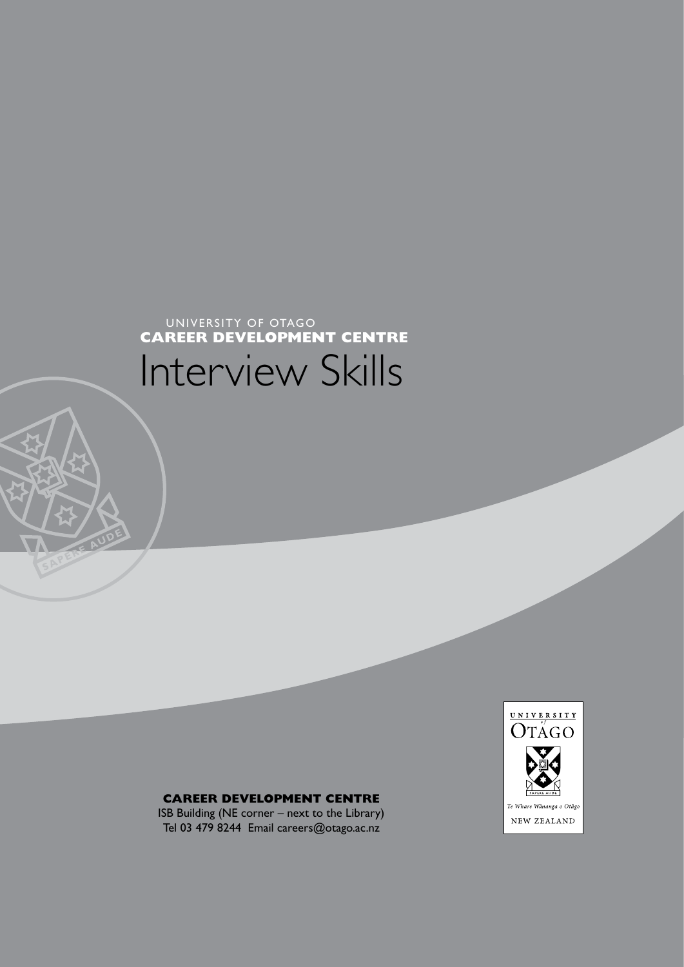# **CAREER DEVELOPMENT CENTRE**

ISB Building (NE corner – next to the Library) Tel 03 479 8244 Email careers@otago.ac.nz



# Interview Skills **CAREER DEVELOPMENT CENTRE**

UNIVERSITY OF OTAGO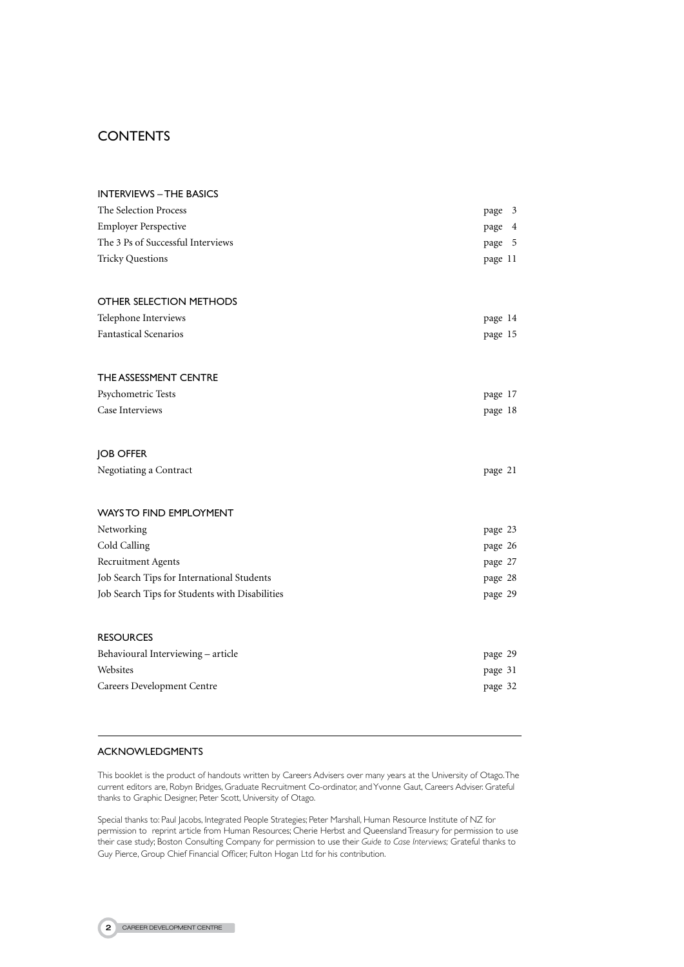# **CONTENTS**

| <b>INTERVIEWS - THE BASICS</b><br>The Selection Process<br><b>Employer Perspective</b><br>The 3 Ps of Successful Interviews<br><b>Tricky Questions</b> | page 3<br>page 4<br>page 5<br>page 11 |
|--------------------------------------------------------------------------------------------------------------------------------------------------------|---------------------------------------|
| OTHER SELECTION METHODS                                                                                                                                |                                       |
| Telephone Interviews<br><b>Fantastical Scenarios</b>                                                                                                   | page 14<br>page 15                    |
| THE ASSESSMENT CENTRE                                                                                                                                  |                                       |
| Psychometric Tests                                                                                                                                     | page 17                               |
| Case Interviews                                                                                                                                        | page 18                               |
| <b>JOB OFFER</b>                                                                                                                                       |                                       |
| Negotiating a Contract                                                                                                                                 | page 21                               |
| <b>WAYS TO FIND EMPLOYMENT</b>                                                                                                                         |                                       |
| Networking                                                                                                                                             | page 23                               |
| Cold Calling                                                                                                                                           | page 26                               |
| Recruitment Agents                                                                                                                                     | page 27                               |
| Job Search Tips for International Students                                                                                                             | page 28                               |
| Job Search Tips for Students with Disabilities                                                                                                         | page 29                               |
| <b>RESOURCES</b>                                                                                                                                       |                                       |
| Behavioural Interviewing - article                                                                                                                     | page 29                               |
| Websites                                                                                                                                               | page 31                               |
| Careers Development Centre                                                                                                                             | page 32                               |
|                                                                                                                                                        |                                       |

#### ACKNOWLEDGMENTS

This booklet is the product of handouts written by Careers Advisers over many years at the University of Otago. The current editors are, Robyn Bridges, Graduate Recruitment Co-ordinator, and Yvonne Gaut, Careers Adviser. Grateful thanks to Graphic Designer, Peter Scott, University of Otago.

Special thanks to: Paul Jacobs, Integrated People Strategies; Peter Marshall, Human Resource Institute of NZ for permission to reprint article from Human Resources; Cherie Herbst and Queensland Treasury for permission to use their case study; Boston Consulting Company for permission to use their *Guide to Case Interviews;* Grateful thanks to Guy Pierce, Group Chief Financial Officer, Fulton Hogan Ltd for his contribution.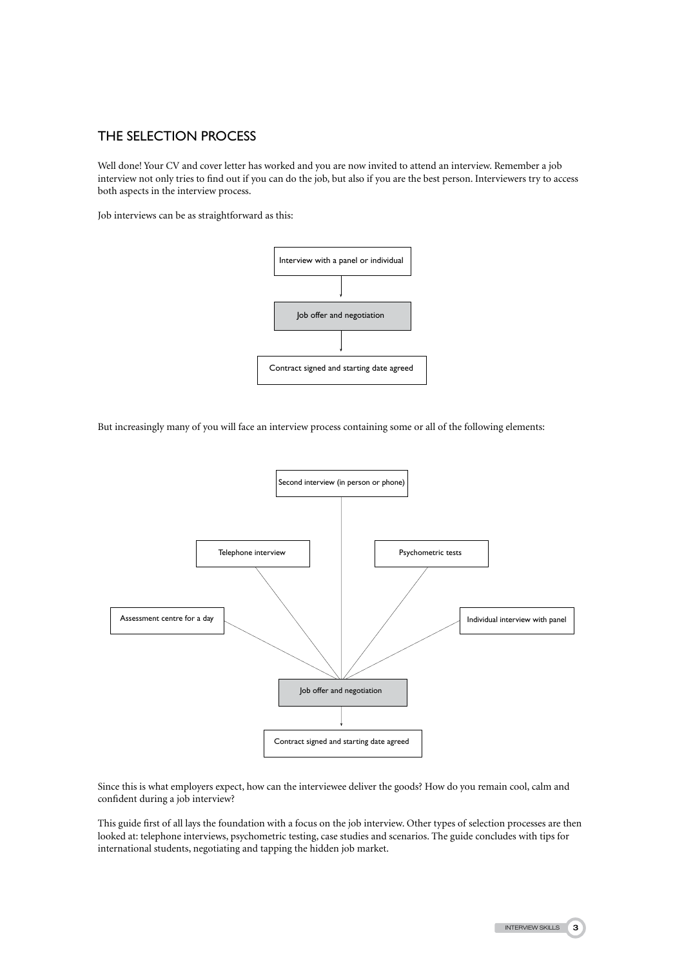# The Selection Process

Well done! Your CV and cover letter has worked and you are now invited to attend an interview. Remember a job interview not only tries to find out if you can do the job, but also if you are the best person. Interviewers try to access both aspects in the interview process.

Job interviews can be as straightforward as this:



But increasingly many of you will face an interview process containing some or all of the following elements:



Since this is what employers expect, how can the interviewee deliver the goods? How do you remain cool, calm and confident during a job interview?

This guide first of all lays the foundation with a focus on the job interview. Other types of selection processes are then looked at: telephone interviews, psychometric testing, case studies and scenarios. The guide concludes with tips for international students, negotiating and tapping the hidden job market.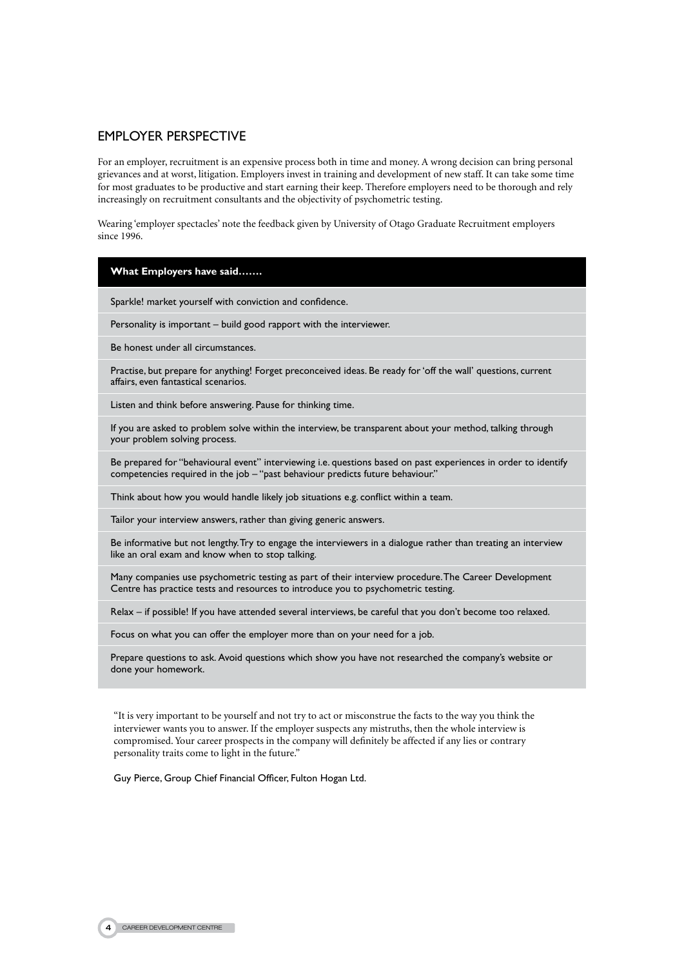## **EMPI OYER PERSPECTIVE**

For an employer, recruitment is an expensive process both in time and money. A wrong decision can bring personal grievances and at worst, litigation. Employers invest in training and development of new staff. It can take some time for most graduates to be productive and start earning their keep. Therefore employers need to be thorough and rely increasingly on recruitment consultants and the objectivity of psychometric testing.

Wearing 'employer spectacles' note the feedback given by University of Otago Graduate Recruitment employers since 1996.

### **What Employers have said…….**

Sparkle! market yourself with conviction and confidence.

Personality is important – build good rapport with the interviewer.

Be honest under all circumstances.

Practise, but prepare for anything! Forget preconceived ideas. Be ready for 'off the wall' questions, current affairs, even fantastical scenarios.

Listen and think before answering. Pause for thinking time.

If you are asked to problem solve within the interview, be transparent about your method, talking through your problem solving process.

Be prepared for "behavioural event" interviewing i.e. questions based on past experiences in order to identify competencies required in the job – "past behaviour predicts future behaviour."

Think about how you would handle likely job situations e.g. conflict within a team.

Tailor your interview answers, rather than giving generic answers.

Be informative but not lengthy. Try to engage the interviewers in a dialogue rather than treating an interview like an oral exam and know when to stop talking.

Many companies use psychometric testing as part of their interview procedure. The Career Development Centre has practice tests and resources to introduce you to psychometric testing.

Relax – if possible! If you have attended several interviews, be careful that you don't become too relaxed.

Focus on what you can offer the employer more than on your need for a job.

Prepare questions to ask. Avoid questions which show you have not researched the company's website or done your homework.

"It is very important to be yourself and not try to act or misconstrue the facts to the way you think the interviewer wants you to answer. If the employer suspects any mistruths, then the whole interview is compromised. Your career prospects in the company will definitely be affected if any lies or contrary personality traits come to light in the future."

Guy Pierce, Group Chief Financial Officer, Fulton Hogan Ltd.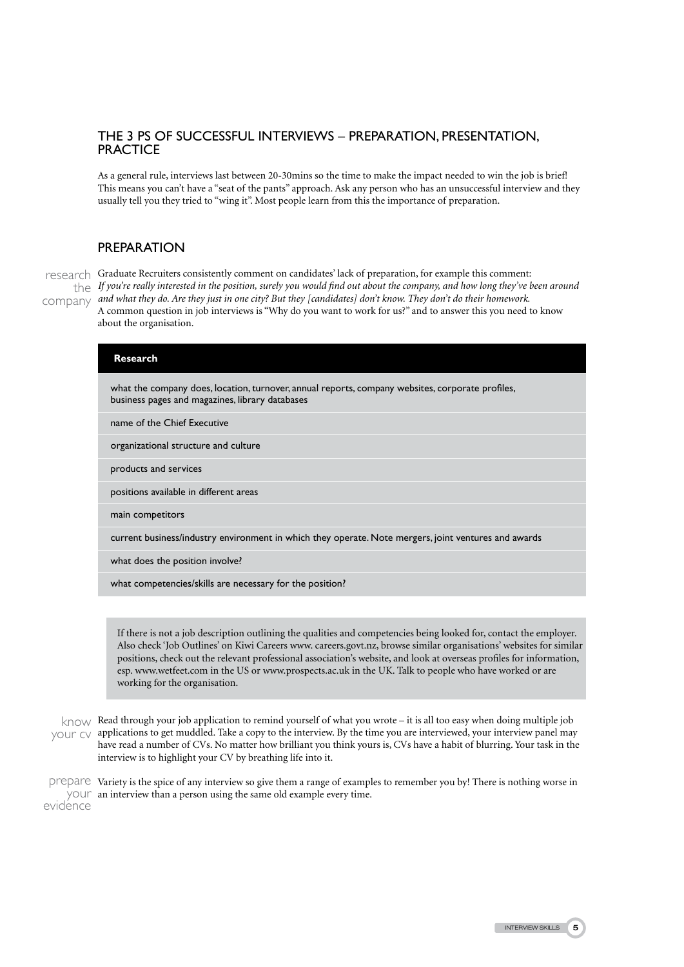## The 3 Ps of Successful Interviews – Preparation, Presentation, **PRACTICE**

As a general rule, interviews last between 20-30mins so the time to make the impact needed to win the job is brief! This means you can't have a "seat of the pants" approach. Ask any person who has an unsuccessful interview and they usually tell you they tried to "wing it". Most people learn from this the importance of preparation.

## **PREPARATION**

research Graduate Recruiters consistently comment on candidates' lack of preparation, for example this comment: *If you're really interested in the position, surely you would find out about the company, and how long they've been around*  the *and what they do. Are they just in one city? But they [candidates] don't know. They don't do their homework.* company A common question in job interviews is "Why do you want to work for us?" and to answer this you need to know about the organisation.

| <b>Research</b>                                                                                                                                     |
|-----------------------------------------------------------------------------------------------------------------------------------------------------|
| what the company does, location, turnover, annual reports, company websites, corporate profiles,<br>business pages and magazines, library databases |
| name of the Chief Executive                                                                                                                         |
| organizational structure and culture                                                                                                                |
| products and services                                                                                                                               |
| positions available in different areas                                                                                                              |
| main competitors                                                                                                                                    |
| current business/industry environment in which they operate. Note mergers, joint ventures and awards                                                |
| what does the position involve?                                                                                                                     |
| what competencies/skills are necessary for the position?                                                                                            |
|                                                                                                                                                     |

If there is not a job description outlining the qualities and competencies being looked for, contact the employer. Also check 'Job Outlines' on Kiwi Careers www. careers.govt.nz, browse similar organisations' websites for similar positions, check out the relevant professional association's website, and look at overseas profiles for information, esp. www.wetfeet.com in the US or www.prospects.ac.uk in the UK. Talk to people who have worked or are working for the organisation.

 $k$  Read through your job application to remind yourself of what you wrote – it is all too easy when doing multiple job your cy applications to get muddled. Take a copy to the interview. By the time you are interviewed, your interview panel may have read a number of CVs. No matter how brilliant you think yours is, CVs have a habit of blurring. Your task in the interview is to highlight your CV by breathing life into it.

prepare Variety is the spice of any interview so give them a range of examples to remember you by! There is nothing worse in  $\frac{1}{2}$   $\frac{1}{2}$  an interview than a person using the same old example every time. evidence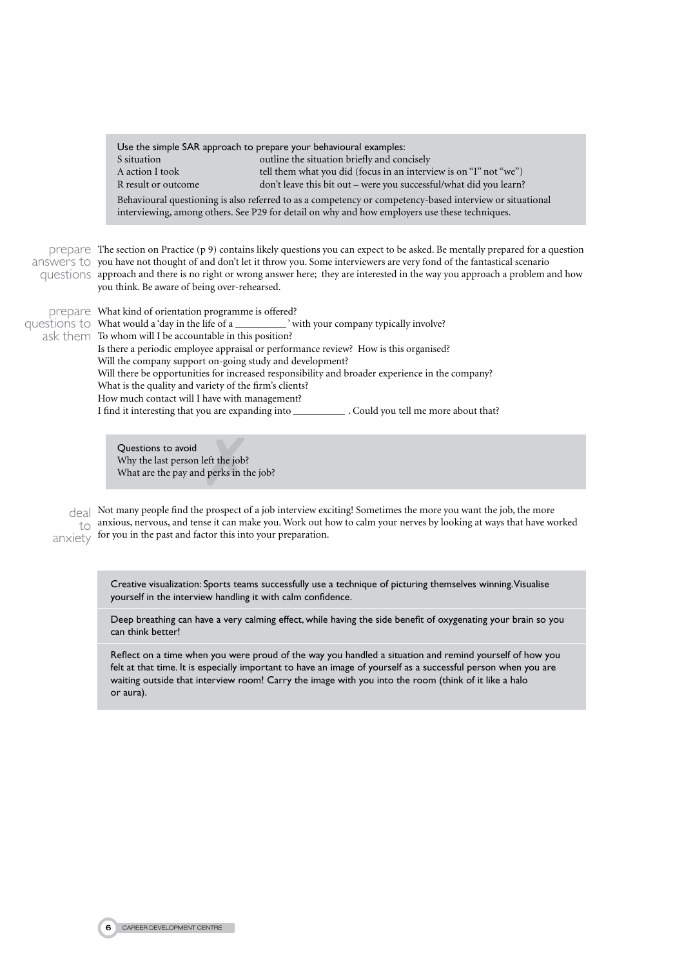| Use the simple SAR approach to prepare your behavioural examples:                                        |                                                                    |  |  |
|----------------------------------------------------------------------------------------------------------|--------------------------------------------------------------------|--|--|
| S situation                                                                                              | outline the situation briefly and concisely                        |  |  |
| A action I took                                                                                          | tell them what you did (focus in an interview is on "I" not "we")  |  |  |
| R result or outcome                                                                                      | don't leave this bit out – were you successful/what did you learn? |  |  |
| Behavioural questioning is also referred to as a competency or competency-based interview or situational |                                                                    |  |  |
| interviewing, among others. See P29 for detail on why and how employers use these techniques.            |                                                                    |  |  |

prepare The section on Practice (p 9) contains likely questions you can expect to be asked. Be mentally prepared for a question answers to you have not thought of and don't let it throw you. Some interviewers are very fond of the fantastical scenario questions approach and there is no right or wrong answer here; they are interested in the way you approach a problem and how you think. Be aware of being over-rehearsed.

prepare What kind of orientation programme is offered? questions to What would a 'day in the life of a \_ ask them To whom will I be accountable in this position?  $\mathcal{L}'$  with your company typically involve? Is there a periodic employee appraisal or performance review? How is this organised? Will the company support on-going study and development? Will there be opportunities for increased responsibility and broader experience in the company? What is the quality and variety of the firm's clients? How much contact will I have with management? I find it interesting that you are expanding into . Could you tell me more about that?

> Questions to avoid Why the last person left the job? What are the pay and perks in the job?

deal Not many people find the prospect of a job interview exciting! Sometimes the more you want the job, the more  $_{\text{to}}$  anxious, nervous, and tense it can make you. Work out how to calm your nerves by looking at ways that have worked anxiety for you in the past and factor this into your preparation.

> Creative visualization: Sports teams successfully use a technique of picturing themselves winning. Visualise yourself in the interview handling it with calm confidence.

Deep breathing can have a very calming effect, while having the side benefit of oxygenating your brain so you can think better!

Reflect on a time when you were proud of the way you handled a situation and remind yourself of how you felt at that time. It is especially important to have an image of yourself as a successful person when you are waiting outside that interview room! Carry the image with you into the room (think of it like a halo or aura).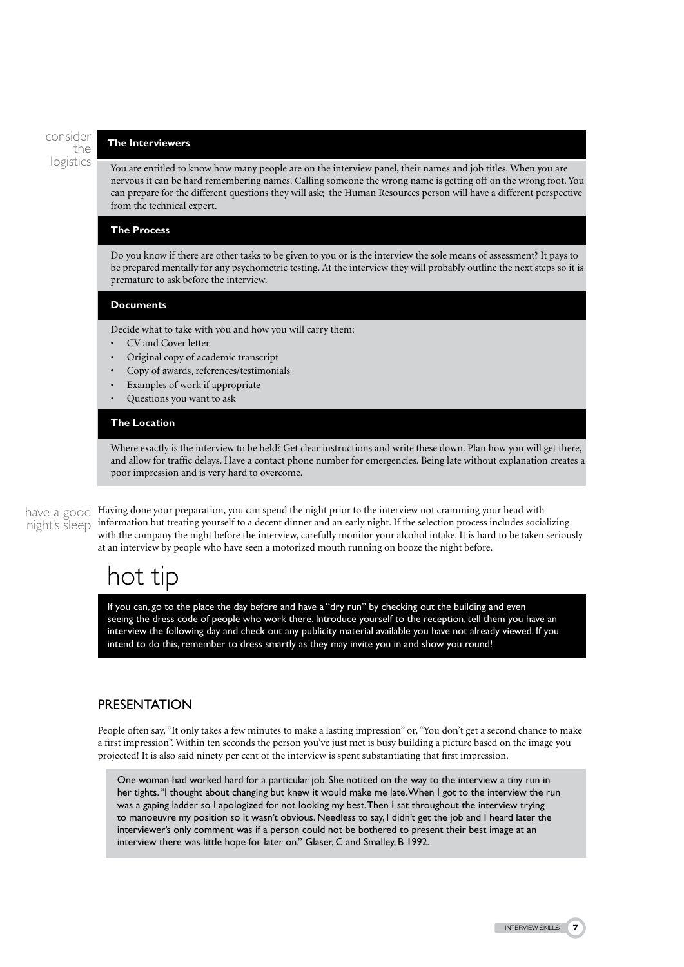consider the logistics

#### **The Interviewers**

You are entitled to know how many people are on the interview panel, their names and job titles. When you are nervous it can be hard remembering names. Calling someone the wrong name is getting off on the wrong foot. You can prepare for the different questions they will ask; the Human Resources person will have a different perspective from the technical expert.

#### **The Process**

Do you know if there are other tasks to be given to you or is the interview the sole means of assessment? It pays to be prepared mentally for any psychometric testing. At the interview they will probably outline the next steps so it is premature to ask before the interview.

#### **Documents**

Decide what to take with you and how you will carry them:

- CV and Cover letter
- Original copy of academic transcript
- Copy of awards, references/testimonials
- Examples of work if appropriate
- Questions you want to ask

## **The Location**

Where exactly is the interview to be held? Get clear instructions and write these down. Plan how you will get there, and allow for traffic delays. Have a contact phone number for emergencies. Being late without explanation creates a poor impression and is very hard to overcome.

# night's sleep

have a good Having done your preparation, you can spend the night prior to the interview not cramming your head with information but treating yourself to a decent dinner and an early night. If the selection process includes socializing with the company the night before the interview, carefully monitor your alcohol intake. It is hard to be taken seriously at an interview by people who have seen a motorized mouth running on booze the night before.

# hot tip

If you can, go to the place the day before and have a "dry run" by checking out the building and even seeing the dress code of people who work there. Introduce yourself to the reception, tell them you have an interview the following day and check out any publicity material available you have not already viewed. If you intend to do this, remember to dress smartly as they may invite you in and show you round!

## **PRESENTATION**

People often say, "It only takes a few minutes to make a lasting impression" or, "You don't get a second chance to make a first impression". Within ten seconds the person you've just met is busy building a picture based on the image you projected! It is also said ninety per cent of the interview is spent substantiating that first impression.

One woman had worked hard for a particular job. She noticed on the way to the interview a tiny run in her tights. "I thought about changing but knew it would make me late. When I got to the interview the run was a gaping ladder so I apologized for not looking my best. Then I sat throughout the interview trying to manoeuvre my position so it wasn't obvious. Needless to say, I didn't get the job and I heard later the interviewer's only comment was if a person could not be bothered to present their best image at an interview there was little hope for later on." Glaser, C and Smalley, B 1992.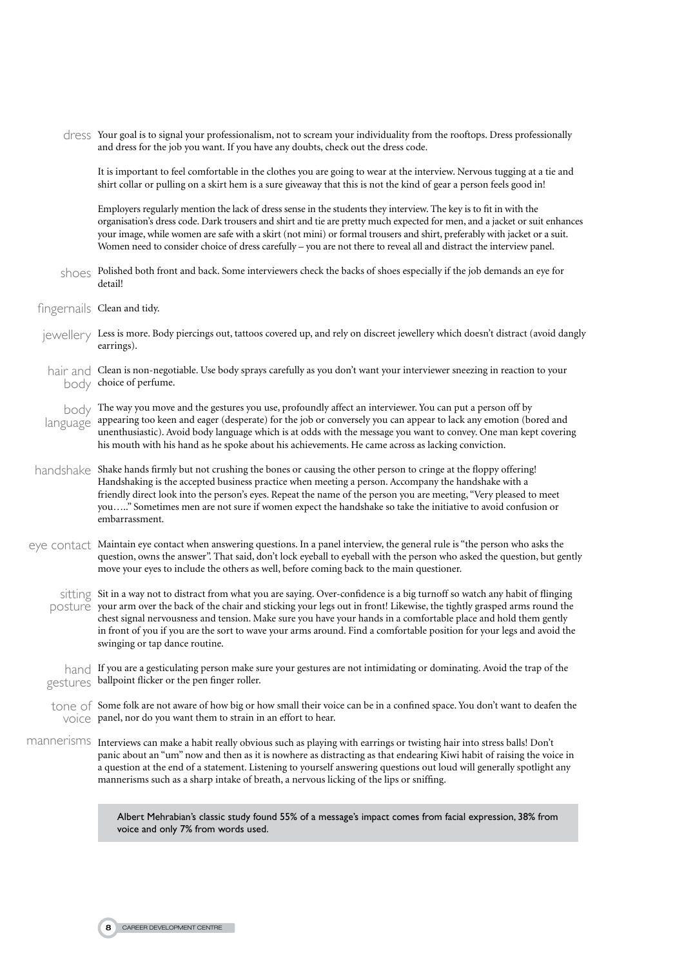dress Your goal is to signal your professionalism, not to scream your individuality from the rooftops. Dress professionally and dress for the job you want. If you have any doubts, check out the dress code.

It is important to feel comfortable in the clothes you are going to wear at the interview. Nervous tugging at a tie and shirt collar or pulling on a skirt hem is a sure giveaway that this is not the kind of gear a person feels good in!

Employers regularly mention the lack of dress sense in the students they interview. The key is to fit in with the organisation's dress code. Dark trousers and shirt and tie are pretty much expected for men, and a jacket or suit enhances your image, while women are safe with a skirt (not mini) or formal trousers and shirt, preferably with jacket or a suit. Women need to consider choice of dress carefully – you are not there to reveal all and distract the interview panel.

- shoes Polished both front and back. Some interviewers check the backs of shoes especially if the job demands an eye for detail!
- fingernails Clean and tidy.
- $j$ ewellery Less is more. Body piercings out, tattoos covered up, and rely on discreet jewellery which doesn't distract (avoid dangly earrings).
- hair and Clean is non-negotiable. Use body sprays carefully as you don't want your interviewer sneezing in reaction to your body choice of perfume.

body The way you move and the gestures you use, profoundly affect an interviewer. You can put a person off by  $l$ anguage appearing too keen and eager (desperate) for the job or conversely you can appear to lack any emotion (bored and unenthusiastic). Avoid body language which is at odds with the message you want to convey. One man kept covering his mouth with his hand as he spoke about his achievements. He came across as lacking conviction.

- handshake Shake hands firmly but not crushing the bones or causing the other person to cringe at the floppy offering! Handshaking is the accepted business practice when meeting a person. Accompany the handshake with a friendly direct look into the person's eyes. Repeat the name of the person you are meeting, "Very pleased to meet you….." Sometimes men are not sure if women expect the handshake so take the initiative to avoid confusion or embarrassment.
- eye contact Maintain eye contact when answering questions. In a panel interview, the general rule is "the person who asks the question, owns the answer". That said, don't lock eyeball to eyeball with the person who asked the question, but gently move your eyes to include the others as well, before coming back to the main questioner.

sitting Sit in a way not to distract from what you are saying. Over-confidence is a big turnoff so watch any habit of flinging posture your arm over the back of the chair and sticking your legs out in front! Likewise, the tightly grasped arms round the chest signal nervousness and tension. Make sure you have your hands in a comfortable place and hold them gently in front of you if you are the sort to wave your arms around. Find a comfortable position for your legs and avoid the swinging or tap dance routine.

hand If you are a gesticulating person make sure your gestures are not intimidating or dominating. Avoid the trap of the gestures ballpoint flicker or the pen finger roller.

- tone of Some folk are not aware of how big or how small their voice can be in a confined space. You don't want to deafen the VOICE panel, nor do you want them to strain in an effort to hear.
- mannerisms Interviews can make a habit really obvious such as playing with earrings or twisting hair into stress balls! Don't panic about an "um" now and then as it is nowhere as distracting as that endearing Kiwi habit of raising the voice in a question at the end of a statement. Listening to yourself answering questions out loud will generally spotlight any mannerisms such as a sharp intake of breath, a nervous licking of the lips or sniffing.

Albert Mehrabian's classic study found 55% of a message's impact comes from facial expression, 38% from voice and only 7% from words used.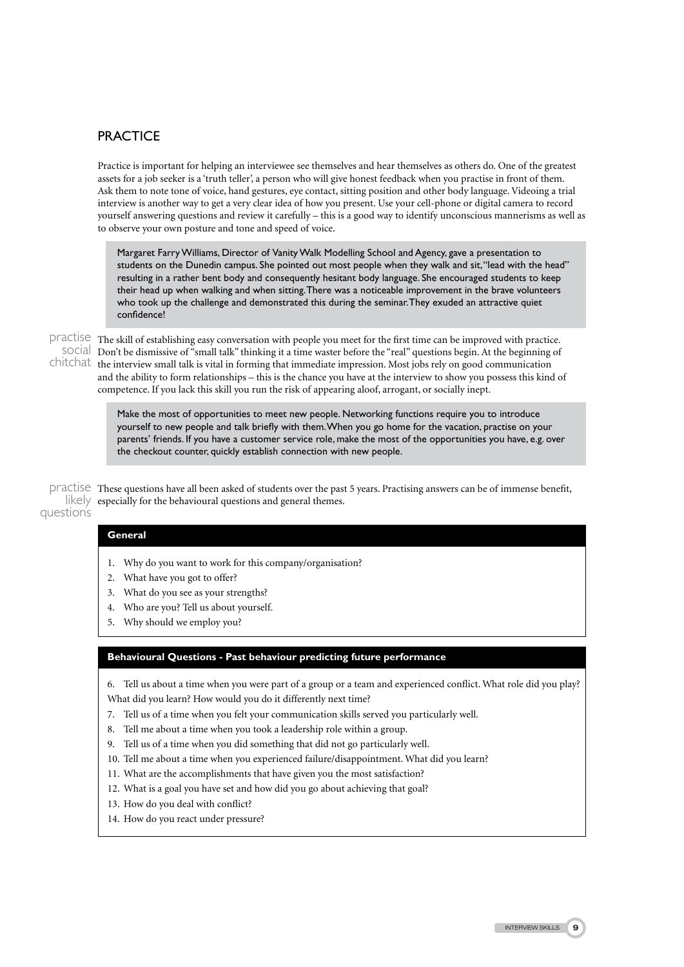## **PRACTICE**

Practice is important for helping an interviewee see themselves and hear themselves as others do. One of the greatest assets for a job seeker is a 'truth teller', a person who will give honest feedback when you practise in front of them. Ask them to note tone of voice, hand gestures, eye contact, sitting position and other body language. Videoing a trial interview is another way to get a very clear idea of how you present. Use your cell-phone or digital camera to record yourself answering questions and review it carefully – this is a good way to identify unconscious mannerisms as well as to observe your own posture and tone and speed of voice.

Margaret Farry Williams, Director of Vanity Walk Modelling School and Agency, gave a presentation to students on the Dunedin campus. She pointed out most people when they walk and sit, "lead with the head" resulting in a rather bent body and consequently hesitant body language. She encouraged students to keep their head up when walking and when sitting. There was a noticeable improvement in the brave volunteers who took up the challenge and demonstrated this during the seminar. They exuded an attractive quiet confidence!

practise The skill of establishing easy conversation with people you meet for the first time can be improved with practice. SOCIal Don't be dismissive of "small talk" thinking it a time waster before the "real" questions begin. At the beginning of chitchat the interview small talk is vital in forming that immediate impression. Most jobs rely on good communication and the ability to form relationships – this is the chance you have at the interview to show you possess this kind of competence. If you lack this skill you run the risk of appearing aloof, arrogant, or socially inept.

> Make the most of opportunities to meet new people. Networking functions require you to introduce yourself to new people and talk briefly with them. When you go home for the vacation, practise on your parents' friends. If you have a customer service role, make the most of the opportunities you have, e.g. over the checkout counter, quickly establish connection with new people.

practise These questions have all been asked of students over the past 5 years. Practising answers can be of immense benefit,  $\text{likely }$  especially for the behavioural questions and general themes. questions

### **General**

- 1. Why do you want to work for this company/organisation?
- 2. What have you got to offer?
- 3. What do you see as your strengths?
- 4. Who are you? Tell us about yourself.
- 5. Why should we employ you?

#### **Behavioural Questions - Past behaviour predicting future performance**

6. Tell us about a time when you were part of a group or a team and experienced conflict. What role did you play? What did you learn? How would you do it differently next time?

- 7. Tell us of a time when you felt your communication skills served you particularly well.
- 8. Tell me about a time when you took a leadership role within a group.
- 9. Tell us of a time when you did something that did not go particularly well.
- 10. Tell me about a time when you experienced failure/disappointment. What did you learn?
- 11. What are the accomplishments that have given you the most satisfaction?
- 12. What is a goal you have set and how did you go about achieving that goal?
- 13. How do you deal with conflict?
- 14. How do you react under pressure?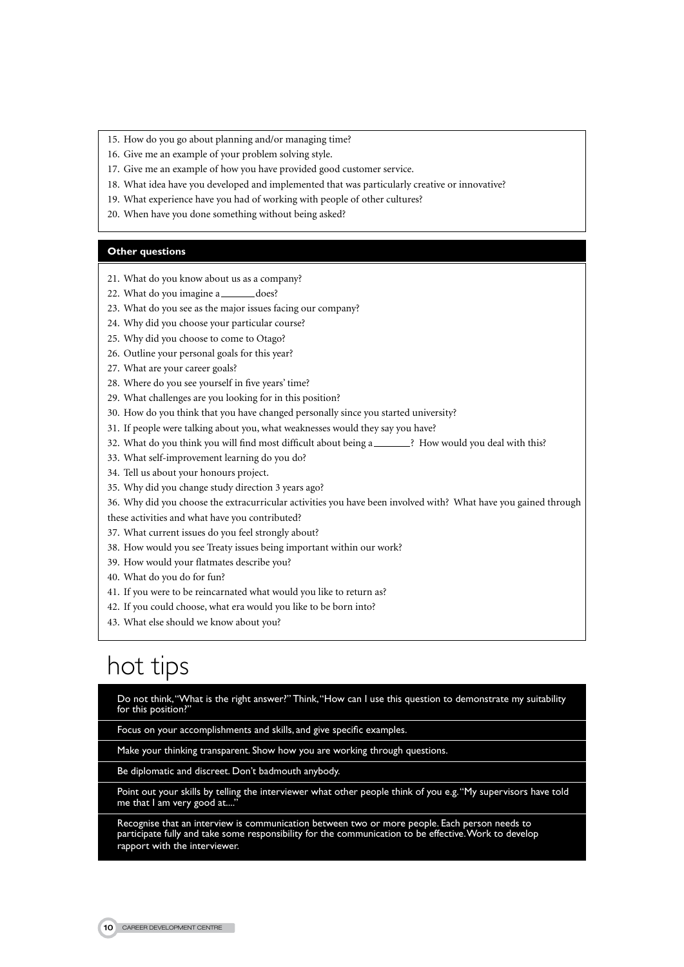- 15. How do you go about planning and/or managing time?
- 16. Give me an example of your problem solving style.
- 17. Give me an example of how you have provided good customer service.
- 18. What idea have you developed and implemented that was particularly creative or innovative?
- 19. What experience have you had of working with people of other cultures?
- 20. When have you done something without being asked?

#### **Other questions**

- 21. What do you know about us as a company?
- 22. What do you imagine a \_\_\_\_\_\_\_\_ does?
- 23. What do you see as the major issues facing our company?
- 24. Why did you choose your particular course?
- 25. Why did you choose to come to Otago?
- 26. Outline your personal goals for this year?
- 27. What are your career goals?
- 28. Where do you see yourself in five years' time?
- 29. What challenges are you looking for in this position?
- 30. How do you think that you have changed personally since you started university?
- 31. If people were talking about you, what weaknesses would they say you have?
- 32. What do you think you will find most difficult about being a \_\_\_\_\_\_? How would you deal with this?
- 33. What self-improvement learning do you do?
- 34. Tell us about your honours project.
- 35. Why did you change study direction 3 years ago?

36. Why did you choose the extracurricular activities you have been involved with? What have you gained through

these activities and what have you contributed?

- 37. What current issues do you feel strongly about?
- 38. How would you see Treaty issues being important within our work?
- 39. How would your flatmates describe you?
- 40. What do you do for fun?
- 41. If you were to be reincarnated what would you like to return as?
- 42. If you could choose, what era would you like to be born into?
- 43. What else should we know about you?

# hot tips

Do not think, "What is the right answer?" Think, "How can I use this question to demonstrate my suitability for this position?"

Focus on your accomplishments and skills, and give specific examples.

Make your thinking transparent. Show how you are working through questions.

Be diplomatic and discreet. Don't badmouth anybody.

Point out your skills by telling the interviewer what other people think of you e.g. "My supervisors have told me that I am very good at...."

Recognise that an interview is communication between two or more people. Each person needs to participate fully and take some responsibility for the communication to be effective. Work to develop rapport with the interviewer.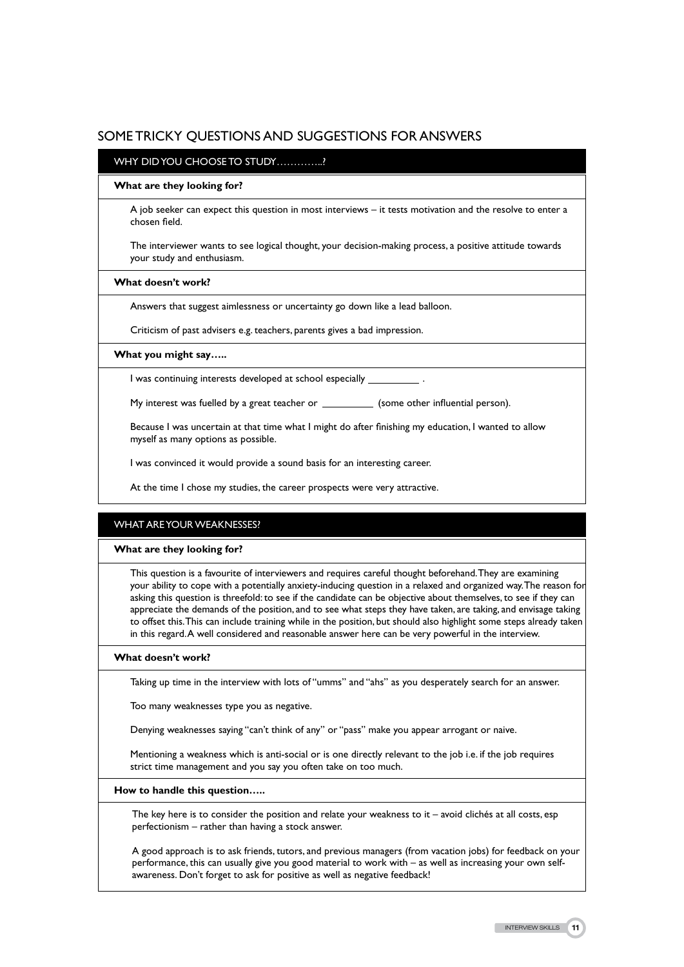## Some Tricky Questions and Suggestions for Answers

### WHY DID YOU CHOOSE TO STUDY……………?

#### **What are they looking for?**

A job seeker can expect this question in most interviews – it tests motivation and the resolve to enter a chosen field.

The interviewer wants to see logical thought, your decision-making process, a positive attitude towards your study and enthusiasm.

#### **What doesn't work?**

Answers that suggest aimlessness or uncertainty go down like a lead balloon.

Criticism of past advisers e.g. teachers, parents gives a bad impression.

#### **What you might say…..**

I was continuing interests developed at school especially .

My interest was fuelled by a great teacher or \_\_\_\_\_\_\_\_\_\_\_ (some other influential person).

Because I was uncertain at that time what I might do after finishing my education, I wanted to allow myself as many options as possible.

I was convinced it would provide a sound basis for an interesting career.

At the time I chose my studies, the career prospects were very attractive.

### WHAT ARE YOUR WEAKNESSES?

#### **What are they looking for?**

This question is a favourite of interviewers and requires careful thought beforehand. They are examining your ability to cope with a potentially anxiety-inducing question in a relaxed and organized way. The reason for asking this question is threefold: to see if the candidate can be objective about themselves, to see if they can appreciate the demands of the position, and to see what steps they have taken, are taking, and envisage taking to offset this. This can include training while in the position, but should also highlight some steps already taken in this regard. A well considered and reasonable answer here can be very powerful in the interview.

#### **What doesn't work?**

Taking up time in the interview with lots of "umms" and "ahs" as you desperately search for an answer.

Too many weaknesses type you as negative.

Denying weaknesses saying "can't think of any" or "pass" make you appear arrogant or naive.

Mentioning a weakness which is anti-social or is one directly relevant to the job i.e. if the job requires strict time management and you say you often take on too much.

#### **How to handle this question…..**

The key here is to consider the position and relate your weakness to it  $-$  avoid clichés at all costs, esp perfectionism – rather than having a stock answer.

A good approach is to ask friends, tutors, and previous managers (from vacation jobs) for feedback on your performance, this can usually give you good material to work with – as well as increasing your own selfawareness. Don't forget to ask for positive as well as negative feedback!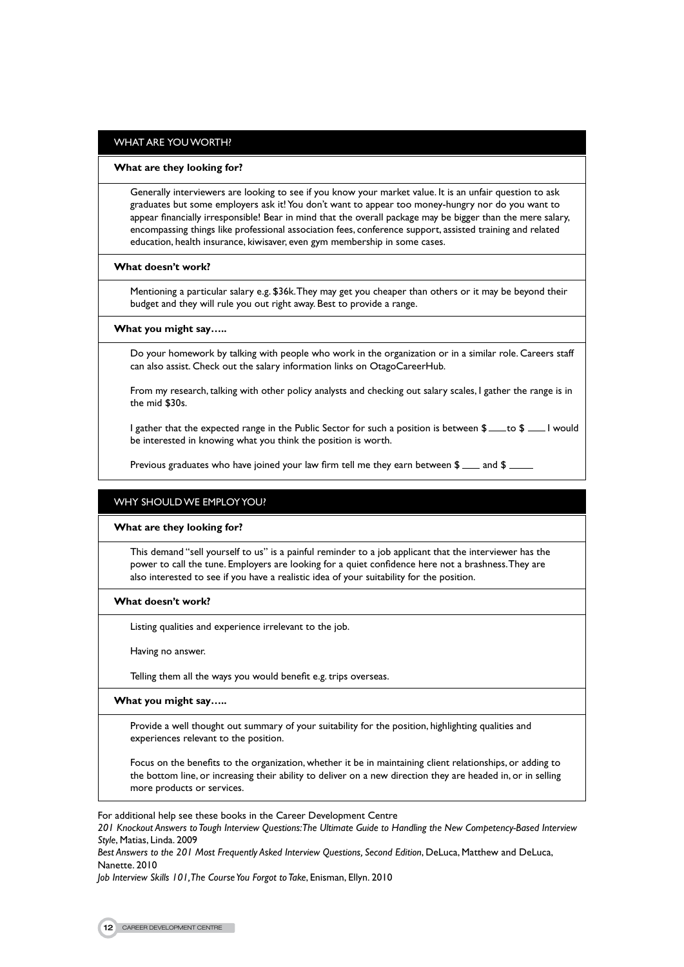#### WHAT ARE YOU WORTH?

#### **What are they looking for?**

Generally interviewers are looking to see if you know your market value. It is an unfair question to ask graduates but some employers ask it! You don't want to appear too money-hungry nor do you want to appear financially irresponsible! Bear in mind that the overall package may be bigger than the mere salary, encompassing things like professional association fees, conference support, assisted training and related education, health insurance, kiwisaver, even gym membership in some cases.

#### **What doesn't work?**

Mentioning a particular salary e.g. \$36k. They may get you cheaper than others or it may be beyond their budget and they will rule you out right away. Best to provide a range.

#### **What you might say…..**

Do your homework by talking with people who work in the organization or in a similar role. Careers staff can also assist. Check out the salary information links on OtagoCareerHub.

From my research, talking with other policy analysts and checking out salary scales, I gather the range is in the mid \$30s.

I gather that the expected range in the Public Sector for such a position is between  $\frac{1}{2}$  to  $\frac{1}{2}$  would be interested in knowing what you think the position is worth.

Previous graduates who have joined your law firm tell me they earn between  $\frac{2}{3}$  and  $\frac{2}{3}$ 

#### WHY SHOULD WE EMPLOY YOU?

#### **What are they looking for?**

This demand "sell yourself to us" is a painful reminder to a job applicant that the interviewer has the power to call the tune. Employers are looking for a quiet confidence here not a brashness. They are also interested to see if you have a realistic idea of your suitability for the position.

#### **What doesn't work?**

Listing qualities and experience irrelevant to the job.

Having no answer.

Telling them all the ways you would benefit e.g. trips overseas.

### **What you might say…..**

Provide a well thought out summary of your suitability for the position, highlighting qualities and experiences relevant to the position.

Focus on the benefits to the organization, whether it be in maintaining client relationships, or adding to the bottom line, or increasing their ability to deliver on a new direction they are headed in, or in selling more products or services.

For additional help see these books in the Career Development Centre

*201 Knockout Answers to Tough Interview Questions: The Ultimate Guide to Handling the New Competency-Based Interview Style*, Matias, Linda. 2009

*Best Answers to the 201 Most Frequently Asked Interview Questions, Second Edition*, DeLuca, Matthew and DeLuca, Nanette. 2010

*Job Interview Skills 101, The Course You Forgot to Take*, Enisman, Ellyn. 2010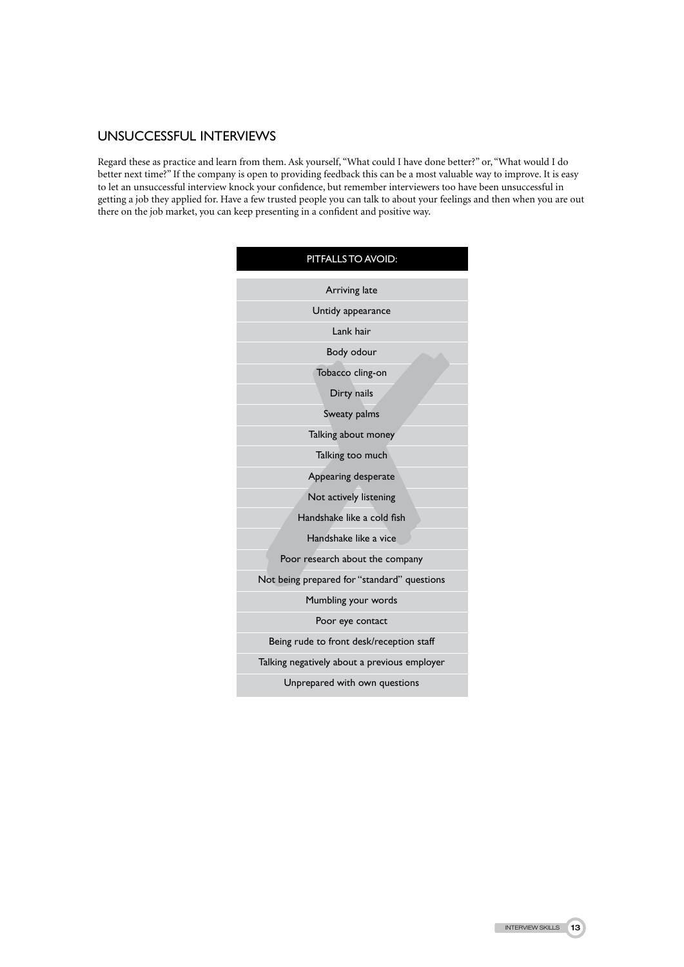## UNSUCCESSFUL INTERVIEWS

Regard these as practice and learn from them. Ask yourself, "What could I have done better?" or, "What would I do better next time?" If the company is open to providing feedback this can be a most valuable way to improve. It is easy to let an unsuccessful interview knock your confidence, but remember interviewers too have been unsuccessful in getting a job they applied for. Have a few trusted people you can talk to about your feelings and then when you are out there on the job market, you can keep presenting in a confident and positive way.

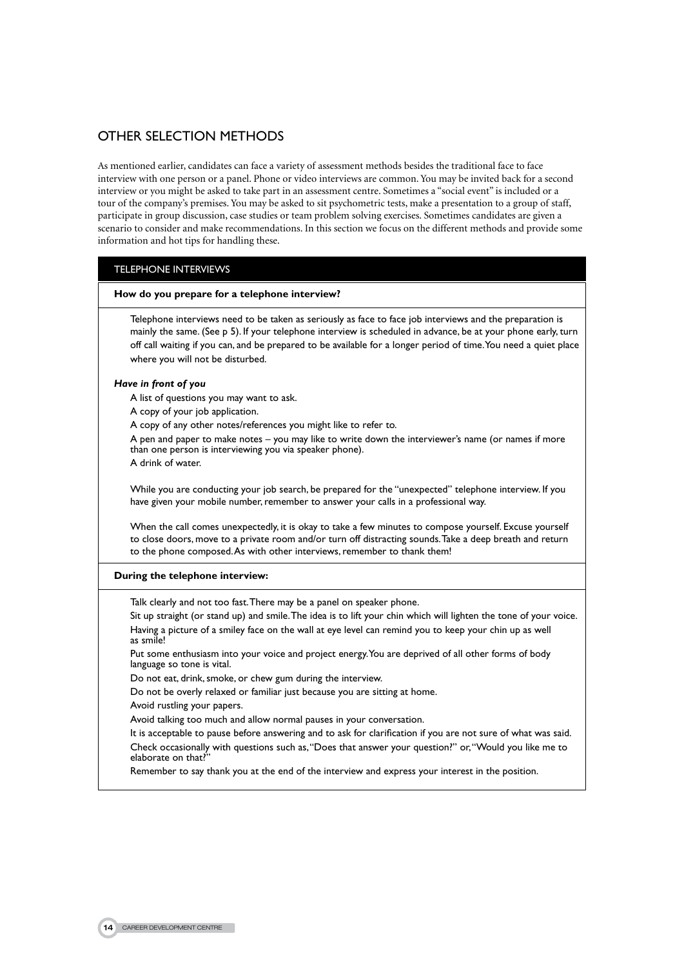# OTHER SELECTION METHODS

As mentioned earlier, candidates can face a variety of assessment methods besides the traditional face to face interview with one person or a panel. Phone or video interviews are common. You may be invited back for a second interview or you might be asked to take part in an assessment centre. Sometimes a "social event" is included or a tour of the company's premises. You may be asked to sit psychometric tests, make a presentation to a group of staff, participate in group discussion, case studies or team problem solving exercises. Sometimes candidates are given a scenario to consider and make recommendations. In this section we focus on the different methods and provide some information and hot tips for handling these.

### Telephone Interviews

#### **How do you prepare for a telephone interview?**

Telephone interviews need to be taken as seriously as face to face job interviews and the preparation is mainly the same. (See p 5). If your telephone interview is scheduled in advance, be at your phone early, turn off call waiting if you can, and be prepared to be available for a longer period of time. You need a quiet place where you will not be disturbed.

#### *Have in front of you*

A list of questions you may want to ask.

A copy of your job application.

A copy of any other notes/references you might like to refer to.

A pen and paper to make notes – you may like to write down the interviewer's name (or names if more than one person is interviewing you via speaker phone).

A drink of water.

While you are conducting your job search, be prepared for the "unexpected" telephone interview. If you have given your mobile number, remember to answer your calls in a professional way.

When the call comes unexpectedly, it is okay to take a few minutes to compose yourself. Excuse yourself to close doors, move to a private room and/or turn off distracting sounds. Take a deep breath and return to the phone composed. As with other interviews, remember to thank them!

#### **During the telephone interview:**

Talk clearly and not too fast. There may be a panel on speaker phone.

Sit up straight (or stand up) and smile. The idea is to lift your chin which will lighten the tone of your voice. Having a picture of a smiley face on the wall at eye level can remind you to keep your chin up as well as smile!

Put some enthusiasm into your voice and project energy. You are deprived of all other forms of body language so tone is vital.

Do not eat, drink, smoke, or chew gum during the interview.

Do not be overly relaxed or familiar just because you are sitting at home.

Avoid rustling your papers.

Avoid talking too much and allow normal pauses in your conversation.

It is acceptable to pause before answering and to ask for clarification if you are not sure of what was said. Check occasionally with questions such as, "Does that answer your question?" or, "Would you like me to elaborate on that?

Remember to say thank you at the end of the interview and express your interest in the position.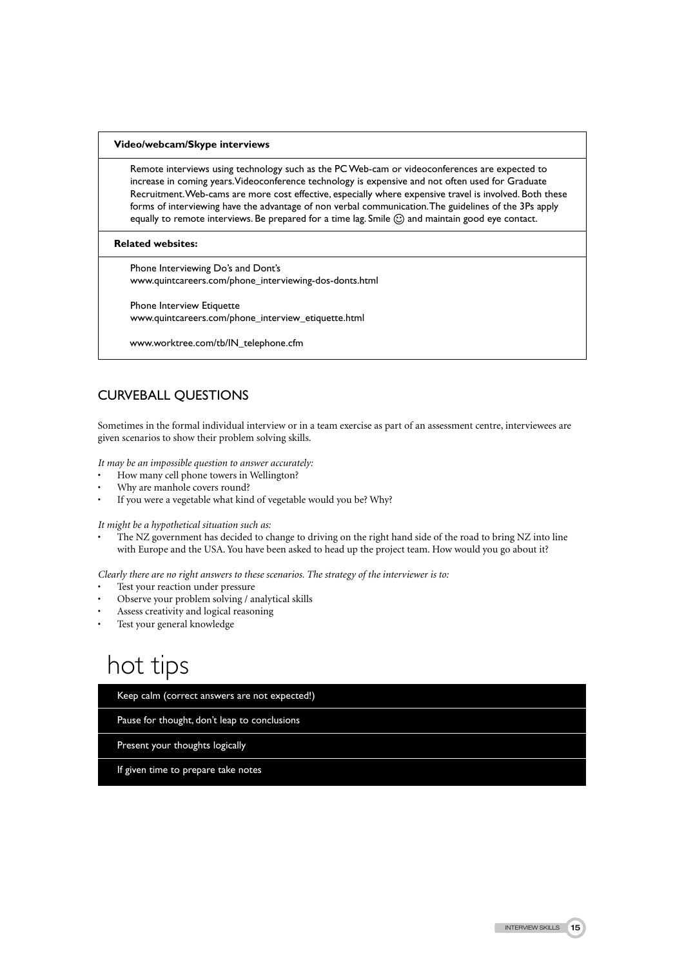#### **Video/webcam/Skype interviews**

Remote interviews using technology such as the PC Web-cam or videoconferences are expected to increase in coming years. Videoconference technology is expensive and not often used for Graduate Recruitment. Web-cams are more cost effective, especially where expensive travel is involved. Both these forms of interviewing have the advantage of non verbal communication. The guidelines of the 3Ps apply equally to remote interviews. Be prepared for a time lag. Smile  $\odot$  and maintain good eye contact.

#### **Related websites:**

Phone Interviewing Do's and Dont's www.quintcareers.com/phone\_interviewing-dos-donts.html

Phone Interview Etiquette www.quintcareers.com/phone\_interview\_etiquette.html

www.worktree.com/tb/IN\_telephone.cfm

# CURVEBALL QUESTIONS

Sometimes in the formal individual interview or in a team exercise as part of an assessment centre, interviewees are given scenarios to show their problem solving skills.

*It may be an impossible question to answer accurately:* 

- How many cell phone towers in Wellington?
- Why are manhole covers round?
- If you were a vegetable what kind of vegetable would you be? Why?

*It might be a hypothetical situation such as:*

The NZ government has decided to change to driving on the right hand side of the road to bring NZ into line with Europe and the USA. You have been asked to head up the project team. How would you go about it?

*Clearly there are no right answers to these scenarios. The strategy of the interviewer is to:*

- Test your reaction under pressure
- Observe your problem solving / analytical skills
- Assess creativity and logical reasoning
- Test your general knowledge

# hot tips

Keep calm (correct answers are not expected!)

Pause for thought, don't leap to conclusions

Present your thoughts logically

If given time to prepare take notes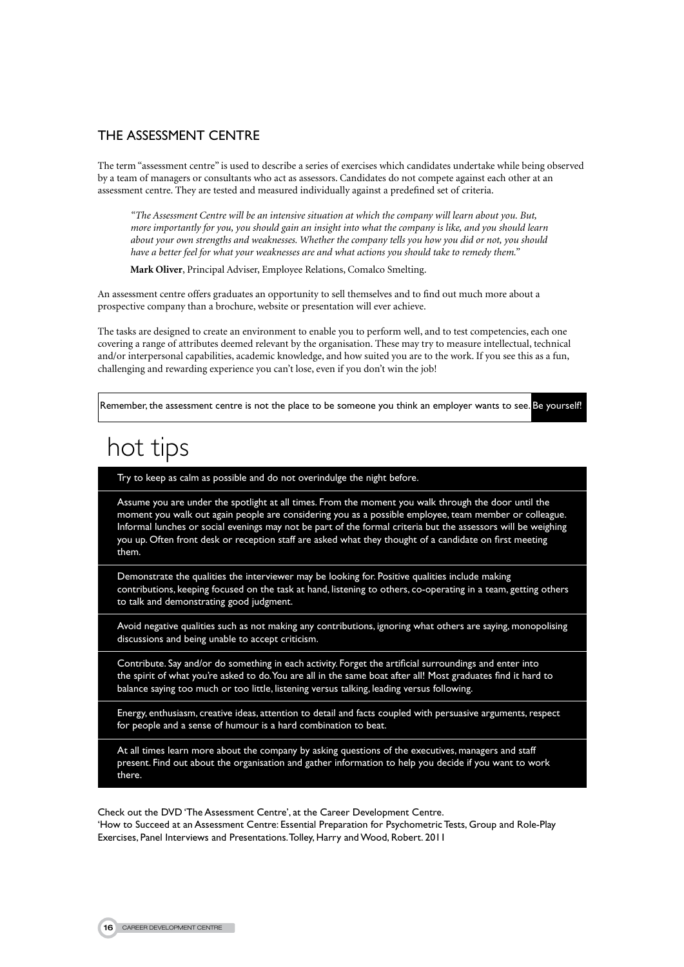## THE Assessment Centre

The term "assessment centre" is used to describe a series of exercises which candidates undertake while being observed by a team of managers or consultants who act as assessors. Candidates do not compete against each other at an assessment centre. They are tested and measured individually against a predefined set of criteria.

*"The Assessment Centre will be an intensive situation at which the company will learn about you. But, more importantly for you, you should gain an insight into what the company is like, and you should learn about your own strengths and weaknesses. Whether the company tells you how you did or not, you should have a better feel for what your weaknesses are and what actions you should take to remedy them."*

**Mark Oliver**, Principal Adviser, Employee Relations, Comalco Smelting.

An assessment centre offers graduates an opportunity to sell themselves and to find out much more about a prospective company than a brochure, website or presentation will ever achieve.

The tasks are designed to create an environment to enable you to perform well, and to test competencies, each one covering a range of attributes deemed relevant by the organisation. These may try to measure intellectual, technical and/or interpersonal capabilities, academic knowledge, and how suited you are to the work. If you see this as a fun, challenging and rewarding experience you can't lose, even if you don't win the job!

Remember, the assessment centre is not the place to be someone you think an employer wants to see. Be yourself!

# hot tips

l

Try to keep as calm as possible and do not overindulge the night before.

Assume you are under the spotlight at all times. From the moment you walk through the door until the moment you walk out again people are considering you as a possible employee, team member or colleague. Informal lunches or social evenings may not be part of the formal criteria but the assessors will be weighing you up. Often front desk or reception staff are asked what they thought of a candidate on first meeting them.

Demonstrate the qualities the interviewer may be looking for. Positive qualities include making contributions, keeping focused on the task at hand, listening to others, co-operating in a team, getting others to talk and demonstrating good judgment.

Avoid negative qualities such as not making any contributions, ignoring what others are saying, monopolising discussions and being unable to accept criticism.

Contribute. Say and/or do something in each activity. Forget the artificial surroundings and enter into the spirit of what you're asked to do. You are all in the same boat after all! Most graduates find it hard to balance saying too much or too little, listening versus talking, leading versus following.

Energy, enthusiasm, creative ideas, attention to detail and facts coupled with persuasive arguments, respect for people and a sense of humour is a hard combination to beat.

At all times learn more about the company by asking questions of the executives, managers and staff present. Find out about the organisation and gather information to help you decide if you want to work there.

Check out the DVD 'The Assessment Centre', at the Career Development Centre. 'How to Succeed at an Assessment Centre: Essential Preparation for Psychometric Tests, Group and Role-Play Exercises, Panel Interviews and Presentations. Tolley, Harry and Wood, Robert. 2011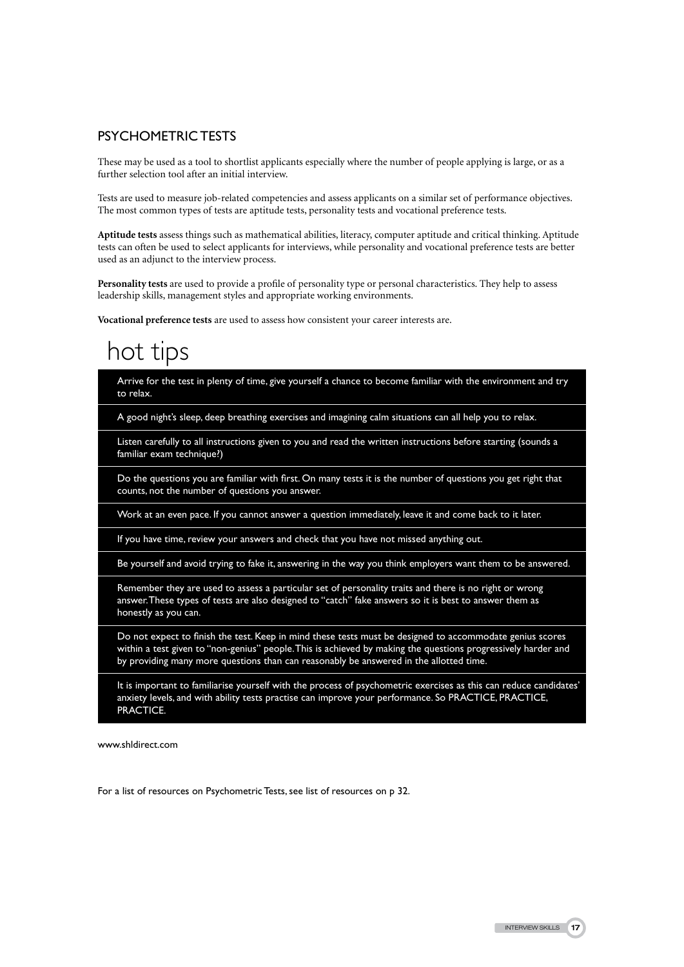## Psychometric Tests

These may be used as a tool to shortlist applicants especially where the number of people applying is large, or as a further selection tool after an initial interview.

Tests are used to measure job-related competencies and assess applicants on a similar set of performance objectives. The most common types of tests are aptitude tests, personality tests and vocational preference tests.

**Aptitude tests** assess things such as mathematical abilities, literacy, computer aptitude and critical thinking. Aptitude tests can often be used to select applicants for interviews, while personality and vocational preference tests are better used as an adjunct to the interview process.

**Personality tests** are used to provide a profile of personality type or personal characteristics. They help to assess leadership skills, management styles and appropriate working environments.

**Vocational preference tests** are used to assess how consistent your career interests are.

# hot tips

Arrive for the test in plenty of time, give yourself a chance to become familiar with the environment and try to relax.

A good night's sleep, deep breathing exercises and imagining calm situations can all help you to relax.

Listen carefully to all instructions given to you and read the written instructions before starting (sounds a familiar exam technique?)

Do the questions you are familiar with first. On many tests it is the number of questions you get right that counts, not the number of questions you answer.

Work at an even pace. If you cannot answer a question immediately, leave it and come back to it later.

If you have time, review your answers and check that you have not missed anything out.

Be yourself and avoid trying to fake it, answering in the way you think employers want them to be answered.

Remember they are used to assess a particular set of personality traits and there is no right or wrong answer. These types of tests are also designed to "catch" fake answers so it is best to answer them as honestly as you can.

Do not expect to finish the test. Keep in mind these tests must be designed to accommodate genius scores within a test given to "non-genius" people. This is achieved by making the questions progressively harder and by providing many more questions than can reasonably be answered in the allotted time.

It is important to familiarise yourself with the process of psychometric exercises as this can reduce candidates' anxiety levels, and with ability tests practise can improve your performance. So PRACTICE, PRACTICE, PRACTICE.

www.shldirect.com

For a list of resources on Psychometric Tests, see list of resources on p 32.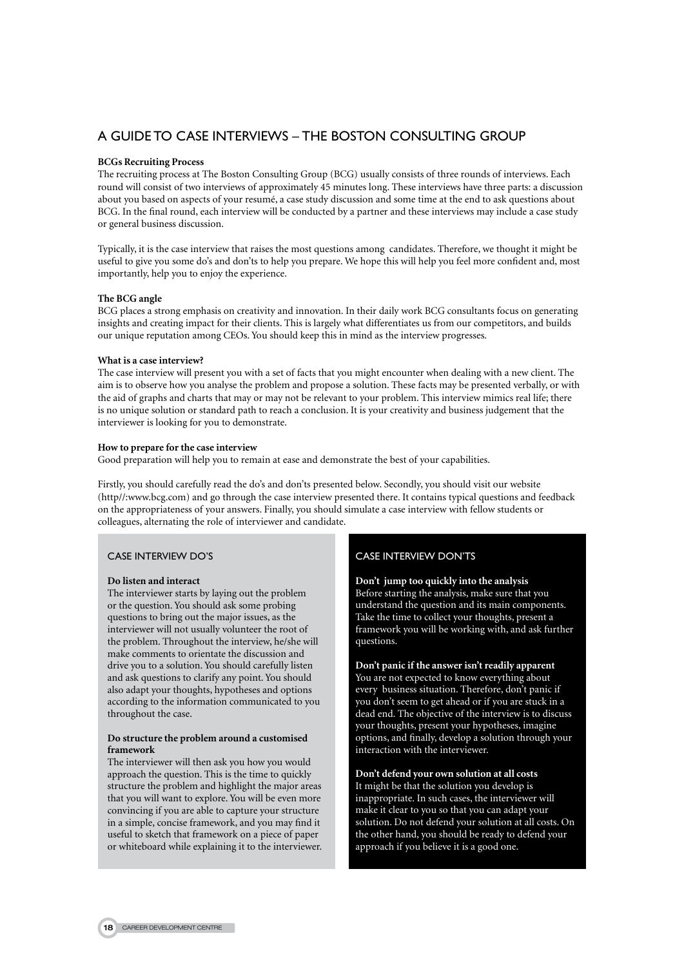## A GUIDE TO CASE INTERVIEWS – The Boston Consulting Group

#### **BCGs Recruiting Process**

The recruiting process at The Boston Consulting Group (BCG) usually consists of three rounds of interviews. Each round will consist of two interviews of approximately 45 minutes long. These interviews have three parts: a discussion about you based on aspects of your resumé, a case study discussion and some time at the end to ask questions about BCG. In the final round, each interview will be conducted by a partner and these interviews may include a case study or general business discussion.

Typically, it is the case interview that raises the most questions among candidates. Therefore, we thought it might be useful to give you some do's and don'ts to help you prepare. We hope this will help you feel more confident and, most importantly, help you to enjoy the experience.

#### **The BCG angle**

BCG places a strong emphasis on creativity and innovation. In their daily work BCG consultants focus on generating insights and creating impact for their clients. This is largely what differentiates us from our competitors, and builds our unique reputation among CEOs. You should keep this in mind as the interview progresses.

#### **What is a case interview?**

The case interview will present you with a set of facts that you might encounter when dealing with a new client. The aim is to observe how you analyse the problem and propose a solution. These facts may be presented verbally, or with the aid of graphs and charts that may or may not be relevant to your problem. This interview mimics real life; there is no unique solution or standard path to reach a conclusion. It is your creativity and business judgement that the interviewer is looking for you to demonstrate.

#### **How to prepare for the case interview**

Good preparation will help you to remain at ease and demonstrate the best of your capabilities.

Firstly, you should carefully read the do's and don'ts presented below. Secondly, you should visit our website (http//:www.bcg.com) and go through the case interview presented there. It contains typical questions and feedback on the appropriateness of your answers. Finally, you should simulate a case interview with fellow students or colleagues, alternating the role of interviewer and candidate.

#### Case Interview Do's

#### **Do listen and interact**

The interviewer starts by laying out the problem or the question. You should ask some probing questions to bring out the major issues, as the interviewer will not usually volunteer the root of the problem. Throughout the interview, he/she will make comments to orientate the discussion and drive you to a solution. You should carefully listen and ask questions to clarify any point. You should also adapt your thoughts, hypotheses and options according to the information communicated to you throughout the case.

#### **Do structure the problem around a customised framework**

The interviewer will then ask you how you would approach the question. This is the time to quickly structure the problem and highlight the major areas that you will want to explore. You will be even more convincing if you are able to capture your structure in a simple, concise framework, and you may find it useful to sketch that framework on a piece of paper or whiteboard while explaining it to the interviewer.

### Case Interview Don'ts

**Don't jump too quickly into the analysis** Before starting the analysis, make sure that you understand the question and its main components. Take the time to collect your thoughts, present a framework you will be working with, and ask further questions.

**Don't panic if the answer isn't readily apparent** You are not expected to know everything about every business situation. Therefore, don't panic if you don't seem to get ahead or if you are stuck in a dead end. The objective of the interview is to discuss your thoughts, present your hypotheses, imagine options, and finally, develop a solution through your interaction with the interviewer.

**Don't defend your own solution at all costs** It might be that the solution you develop is inappropriate. In such cases, the interviewer will make it clear to you so that you can adapt your solution. Do not defend your solution at all costs. On the other hand, you should be ready to defend your approach if you believe it is a good one.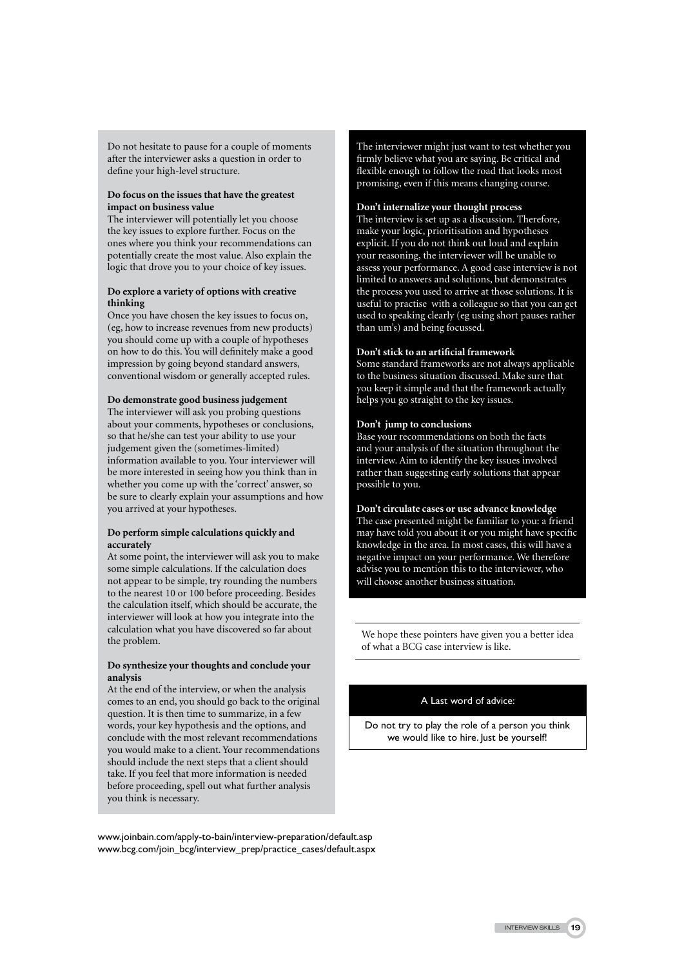Do not hesitate to pause for a couple of moments after the interviewer asks a question in order to define your high-level structure.

#### **Do focus on the issues that have the greatest impact on business value**

The interviewer will potentially let you choose the key issues to explore further. Focus on the ones where you think your recommendations can potentially create the most value. Also explain the logic that drove you to your choice of key issues.

#### **Do explore a variety of options with creative thinking**

Once you have chosen the key issues to focus on, (eg, how to increase revenues from new products) you should come up with a couple of hypotheses on how to do this. You will definitely make a good impression by going beyond standard answers, conventional wisdom or generally accepted rules.

#### **Do demonstrate good business judgement**

The interviewer will ask you probing questions about your comments, hypotheses or conclusions, so that he/she can test your ability to use your judgement given the (sometimes-limited) information available to you. Your interviewer will be more interested in seeing how you think than in whether you come up with the 'correct' answer, so be sure to clearly explain your assumptions and how you arrived at your hypotheses.

#### **Do perform simple calculations quickly and accurately**

At some point, the interviewer will ask you to make some simple calculations. If the calculation does not appear to be simple, try rounding the numbers to the nearest 10 or 100 before proceeding. Besides the calculation itself, which should be accurate, the interviewer will look at how you integrate into the calculation what you have discovered so far about the problem.

#### **Do synthesize your thoughts and conclude your analysis**

At the end of the interview, or when the analysis comes to an end, you should go back to the original question. It is then time to summarize, in a few words, your key hypothesis and the options, and conclude with the most relevant recommendations you would make to a client. Your recommendations should include the next steps that a client should take. If you feel that more information is needed before proceeding, spell out what further analysis you think is necessary.

The interviewer might just want to test whether you firmly believe what you are saying. Be critical and flexible enough to follow the road that looks most promising, even if this means changing course.

### **Don't internalize your thought process**

The interview is set up as a discussion. Therefore, make your logic, prioritisation and hypotheses explicit. If you do not think out loud and explain your reasoning, the interviewer will be unable to assess your performance. A good case interview is not limited to answers and solutions, but demonstrates the process you used to arrive at those solutions. It is useful to practise with a colleague so that you can get used to speaking clearly (eg using short pauses rather than um's) and being focussed.

#### **Don't stick to an artificial framework**

Some standard frameworks are not always applicable to the business situation discussed. Make sure that you keep it simple and that the framework actually helps you go straight to the key issues.

#### **Don't jump to conclusions**

Base your recommendations on both the facts and your analysis of the situation throughout the interview. Aim to identify the key issues involved rather than suggesting early solutions that appear possible to you.

## **Don't circulate cases or use advance knowledge**

The case presented might be familiar to you: a friend may have told you about it or you might have specific knowledge in the area. In most cases, this will have a negative impact on your performance. We therefore advise you to mention this to the interviewer, who will choose another business situation.

We hope these pointers have given you a better idea of what a BCG case interview is like.

## A Last word of advice:

Do not try to play the role of a person you think we would like to hire. Just be yourself!

www.joinbain.com/apply-to-bain/interview-preparation/default.asp www.bcg.com/join\_bcg/interview\_prep/practice\_cases/default.aspx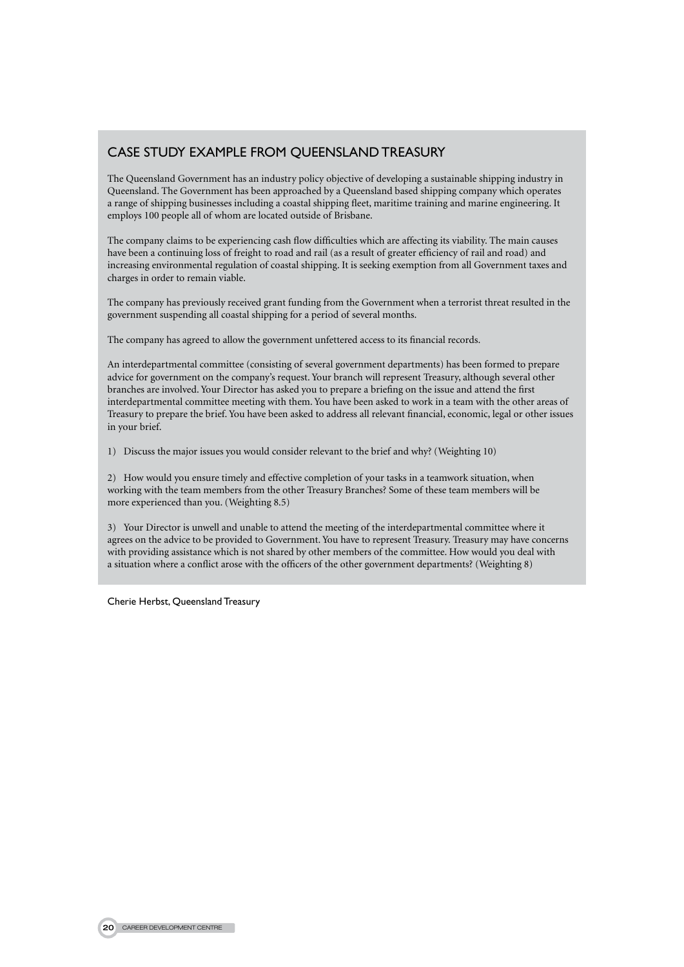## Case study example from Queensland Treasury

The Queensland Government has an industry policy objective of developing a sustainable shipping industry in Queensland. The Government has been approached by a Queensland based shipping company which operates a range of shipping businesses including a coastal shipping fleet, maritime training and marine engineering. It employs 100 people all of whom are located outside of Brisbane.

The company claims to be experiencing cash flow difficulties which are affecting its viability. The main causes have been a continuing loss of freight to road and rail (as a result of greater efficiency of rail and road) and increasing environmental regulation of coastal shipping. It is seeking exemption from all Government taxes and charges in order to remain viable.

The company has previously received grant funding from the Government when a terrorist threat resulted in the government suspending all coastal shipping for a period of several months.

The company has agreed to allow the government unfettered access to its financial records.

An interdepartmental committee (consisting of several government departments) has been formed to prepare advice for government on the company's request. Your branch will represent Treasury, although several other branches are involved. Your Director has asked you to prepare a briefing on the issue and attend the first interdepartmental committee meeting with them. You have been asked to work in a team with the other areas of Treasury to prepare the brief. You have been asked to address all relevant financial, economic, legal or other issues in your brief.

1) Discuss the major issues you would consider relevant to the brief and why? (Weighting 10)

2) How would you ensure timely and effective completion of your tasks in a teamwork situation, when working with the team members from the other Treasury Branches? Some of these team members will be more experienced than you. (Weighting 8.5)

3) Your Director is unwell and unable to attend the meeting of the interdepartmental committee where it agrees on the advice to be provided to Government. You have to represent Treasury. Treasury may have concerns with providing assistance which is not shared by other members of the committee. How would you deal with a situation where a conflict arose with the officers of the other government departments? (Weighting 8)

Cherie Herbst, Queensland Treasury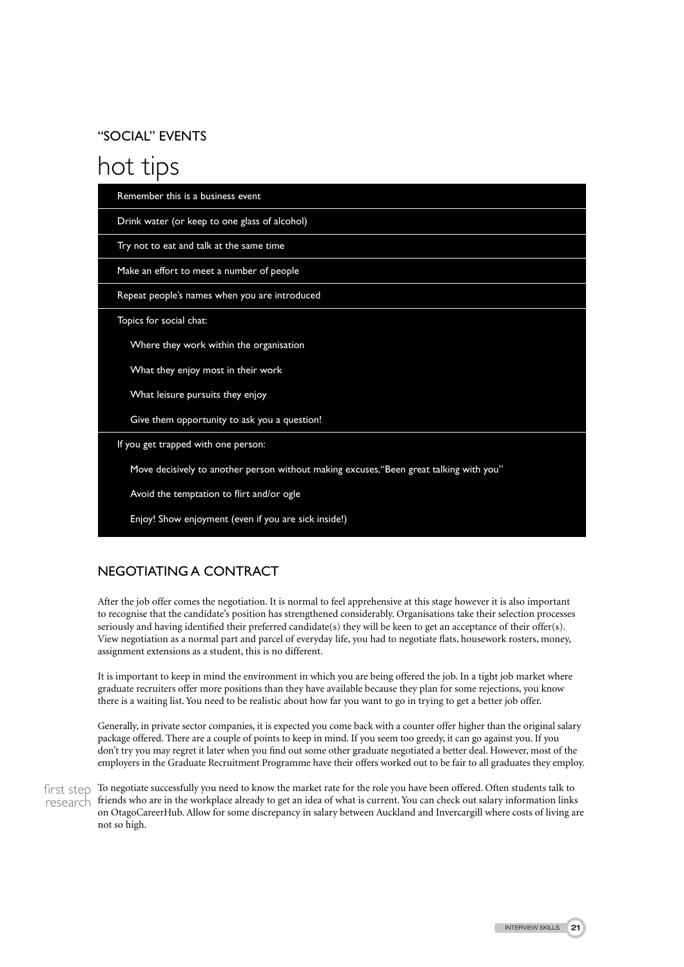## "Social" Events

# hot tips

| Remember this is a business event                                                       |
|-----------------------------------------------------------------------------------------|
| Drink water (or keep to one glass of alcohol)                                           |
| Try not to eat and talk at the same time                                                |
| Make an effort to meet a number of people                                               |
| Repeat people's names when you are introduced                                           |
| Topics for social chat:                                                                 |
| Where they work within the organisation                                                 |
| What they enjoy most in their work                                                      |
| What leisure pursuits they enjoy                                                        |
| Give them opportunity to ask you a question!                                            |
| If you get trapped with one person:                                                     |
| Move decisively to another person without making excuses, "Been great talking with you" |
| Avoid the temptation to flirt and/or ogle                                               |
| Enjoy! Show enjoyment (even if you are sick inside!)                                    |

# Negotiating a Contract

After the job offer comes the negotiation. It is normal to feel apprehensive at this stage however it is also important to recognise that the candidate's position has strengthened considerably. Organisations take their selection processes seriously and having identified their preferred candidate(s) they will be keen to get an acceptance of their offer(s). View negotiation as a normal part and parcel of everyday life, you had to negotiate flats, housework rosters, money, assignment extensions as a student, this is no different.

It is important to keep in mind the environment in which you are being offered the job. In a tight job market where graduate recruiters offer more positions than they have available because they plan for some rejections, you know there is a waiting list. You need to be realistic about how far you want to go in trying to get a better job offer.

Generally, in private sector companies, it is expected you come back with a counter offer higher than the original salary package offered. There are a couple of points to keep in mind. If you seem too greedy, it can go against you. If you don't try you may regret it later when you find out some other graduate negotiated a better deal. However, most of the employers in the Graduate Recruitment Programme have their offers worked out to be fair to all graduates they employ.

first step To negotiate successfully you need to know the market rate for the role you have been offered. Often students talk to research friends who are in the workplace already to get an idea of what is current. You can check out salary information links on OtagoCareerHub. Allow for some discrepancy in salary between Auckland and Invercargill where costs of living are not so high.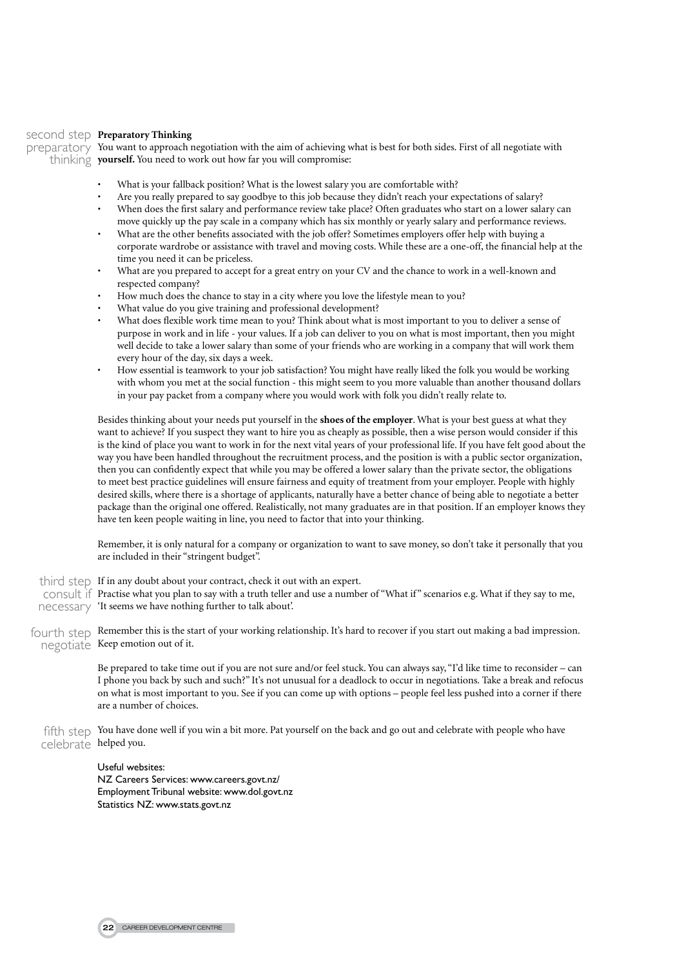## second step **Preparatory Thinking**

preparatory You want to approach negotiation with the aim of achieving what is best for both sides. First of all negotiate with thinking **yourself.** You need to work out how far you will compromise:

- What is your fallback position? What is the lowest salary you are comfortable with?
- Are you really prepared to say goodbye to this job because they didn't reach your expectations of salary?
- • When does the first salary and performance review take place? Often graduates who start on a lower salary can move quickly up the pay scale in a company which has six monthly or yearly salary and performance reviews.
- What are the other benefits associated with the job offer? Sometimes employers offer help with buying a corporate wardrobe or assistance with travel and moving costs. While these are a one-off, the financial help at the time you need it can be priceless.
- What are you prepared to accept for a great entry on your CV and the chance to work in a well-known and respected company?
- How much does the chance to stay in a city where you love the lifestyle mean to you?
- What value do you give training and professional development?
- What does flexible work time mean to you? Think about what is most important to you to deliver a sense of purpose in work and in life - your values. If a job can deliver to you on what is most important, then you might well decide to take a lower salary than some of your friends who are working in a company that will work them every hour of the day, six days a week.
- How essential is teamwork to your job satisfaction? You might have really liked the folk you would be working with whom you met at the social function - this might seem to you more valuable than another thousand dollars in your pay packet from a company where you would work with folk you didn't really relate to.

Besides thinking about your needs put yourself in the **shoes of the employer**. What is your best guess at what they want to achieve? If you suspect they want to hire you as cheaply as possible, then a wise person would consider if this is the kind of place you want to work in for the next vital years of your professional life. If you have felt good about the way you have been handled throughout the recruitment process, and the position is with a public sector organization, then you can confidently expect that while you may be offered a lower salary than the private sector, the obligations to meet best practice guidelines will ensure fairness and equity of treatment from your employer. People with highly desired skills, where there is a shortage of applicants, naturally have a better chance of being able to negotiate a better package than the original one offered. Realistically, not many graduates are in that position. If an employer knows they have ten keen people waiting in line, you need to factor that into your thinking.

Remember, it is only natural for a company or organization to want to save money, so don't take it personally that you are included in their "stringent budget".

- third step If in any doubt about your contract, check it out with an expert.
- consult if Practise what you plan to say with a truth teller and use a number of "What if" scenarios e.g. What if they say to me, necessary 'It seems we have nothing further to talk about'.
- fourth step Remember this is the start of your working relationship. It's hard to recover if you start out making a bad impression. negotiate Keep emotion out of it.

Be prepared to take time out if you are not sure and/or feel stuck. You can always say, "I'd like time to reconsider – can I phone you back by such and such?" It's not unusual for a deadlock to occur in negotiations. Take a break and refocus on what is most important to you. See if you can come up with options – people feel less pushed into a corner if there are a number of choices.

fifth step You have done well if you win a bit more. Pat yourself on the back and go out and celebrate with people who have celebrate helped you.

> Useful websites: NZ Careers Services: www.careers.govt.nz/ Employment Tribunal website: www.dol.govt.nz Statistics NZ: www.stats.govt.nz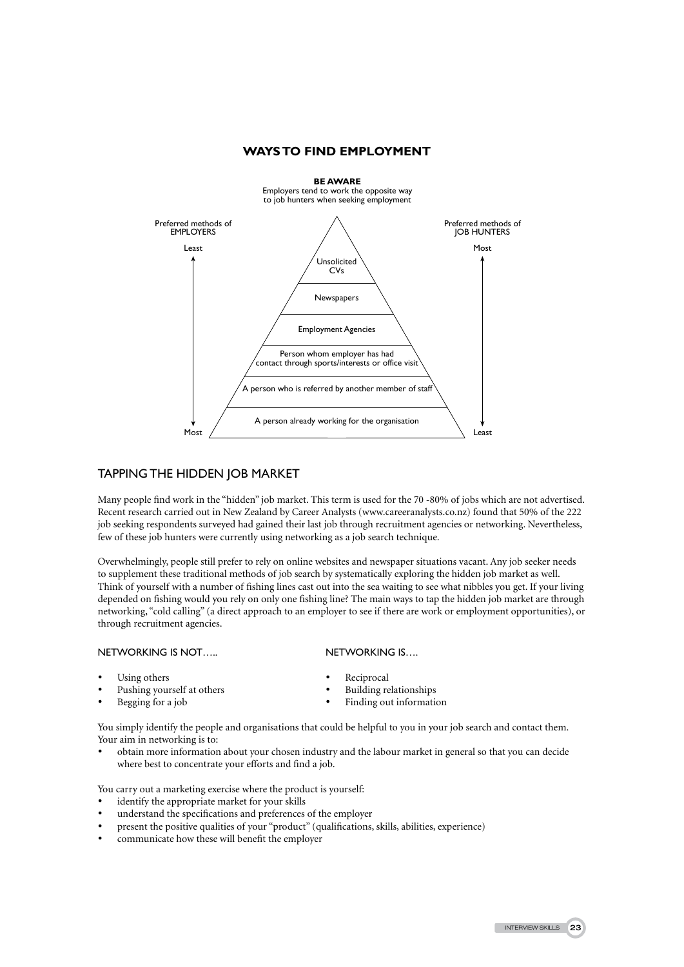### **WAYSTO FIND EMPLOYMENT**



## Tapping the Hidden Job Market

Many people find work in the "hidden" job market. This term is used for the 70 -80% of jobs which are not advertised. Recent research carried out in New Zealand by Career Analysts (www.careeranalysts.co.nz) found that 50% of the 222 job seeking respondents surveyed had gained their last job through recruitment agencies or networking. Nevertheless, few of these job hunters were currently using networking as a job search technique.

Overwhelmingly, people still prefer to rely on online websites and newspaper situations vacant. Any job seeker needs to supplement these traditional methods of job search by systematically exploring the hidden job market as well. Think of yourself with a number of fishing lines cast out into the sea waiting to see what nibbles you get. If your living depended on fishing would you rely on only one fishing line? The main ways to tap the hidden job market are through networking, "cold calling" (a direct approach to an employer to see if there are work or employment opportunities), or through recruitment agencies.

#### NETWORKING IS NOT….. NETWORKING IS….

- 
- Pushing yourself at others
- 
- Using others **•** Reciprocal **•** Reciprocal **•** Reciprocal **•** Building relationships
	-
- Begging for a job Finding out information

You simply identify the people and organisations that could be helpful to you in your job search and contact them. Your aim in networking is to:

obtain more information about your chosen industry and the labour market in general so that you can decide where best to concentrate your efforts and find a job.

You carry out a marketing exercise where the product is yourself:

- identify the appropriate market for your skills
- understand the specifications and preferences of the employer
- present the positive qualities of your "product" (qualifications, skills, abilities, experience)
- communicate how these will benefit the employer

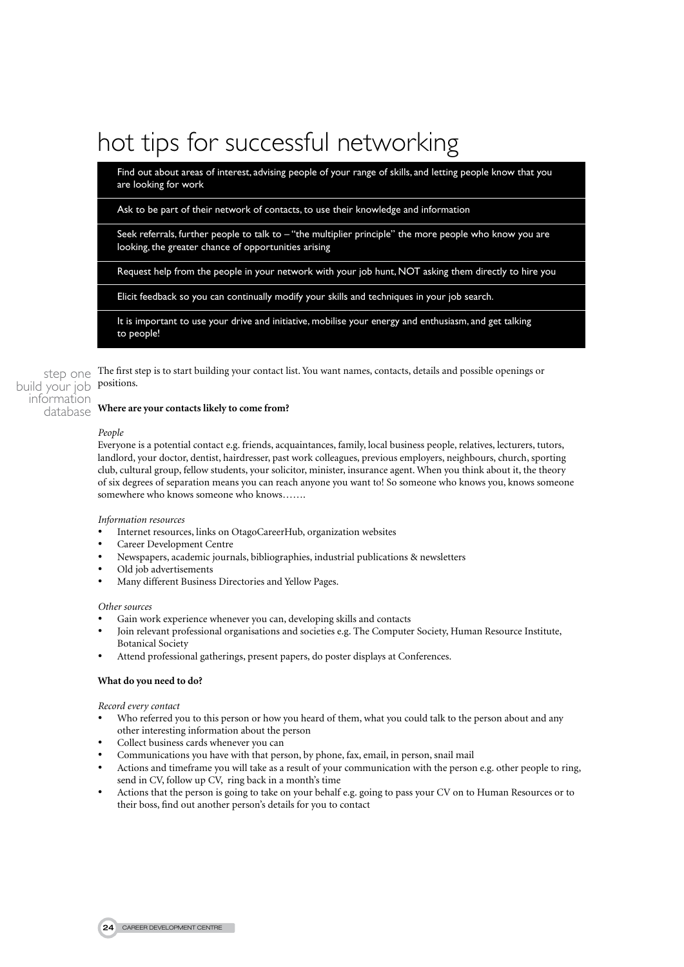# hot tips for successful networking

Find out about areas of interest, advising people of your range of skills, and letting people know that you are looking for work

Ask to be part of their network of contacts, to use their knowledge and information

Seek referrals, further people to talk to – "the multiplier principle" the more people who know you are looking, the greater chance of opportunities arising

Request help from the people in your network with your job hunt, NOT asking them directly to hire you

Elicit feedback so you can continually modify your skills and techniques in your job search.

It is important to use your drive and initiative, mobilise your energy and enthusiasm, and get talking to people!

The first step is to start building your contact list. You want names, contacts, details and possible openings or positions. step one build your job

#### **Where are your contacts likely to come from?** information database

#### *People*

Everyone is a potential contact e.g. friends, acquaintances, family, local business people, relatives, lecturers, tutors, landlord, your doctor, dentist, hairdresser, past work colleagues, previous employers, neighbours, church, sporting club, cultural group, fellow students, your solicitor, minister, insurance agent. When you think about it, the theory of six degrees of separation means you can reach anyone you want to! So someone who knows you, knows someone somewhere who knows someone who knows…….

#### *Information resources*

- Internet resources, links on OtagoCareerHub, organization websites
- **Career Development Centre**
- Newspapers, academic journals, bibliographies, industrial publications & newsletters
- Old job advertisements
- Many different Business Directories and Yellow Pages.

#### *Other sources*

- Gain work experience whenever you can, developing skills and contacts
- Join relevant professional organisations and societies e.g. The Computer Society, Human Resource Institute, Botanical Society
- Attend professional gatherings, present papers, do poster displays at Conferences.

### **What do you need to do?**

#### *Record every contact*

- Who referred you to this person or how you heard of them, what you could talk to the person about and any other interesting information about the person
- Collect business cards whenever you can
- Communications you have with that person, by phone, fax, email, in person, snail mail
- Actions and timeframe you will take as a result of your communication with the person e.g. other people to ring, send in CV, follow up CV, ring back in a month's time
- Actions that the person is going to take on your behalf e.g. going to pass your CV on to Human Resources or to their boss, find out another person's details for you to contact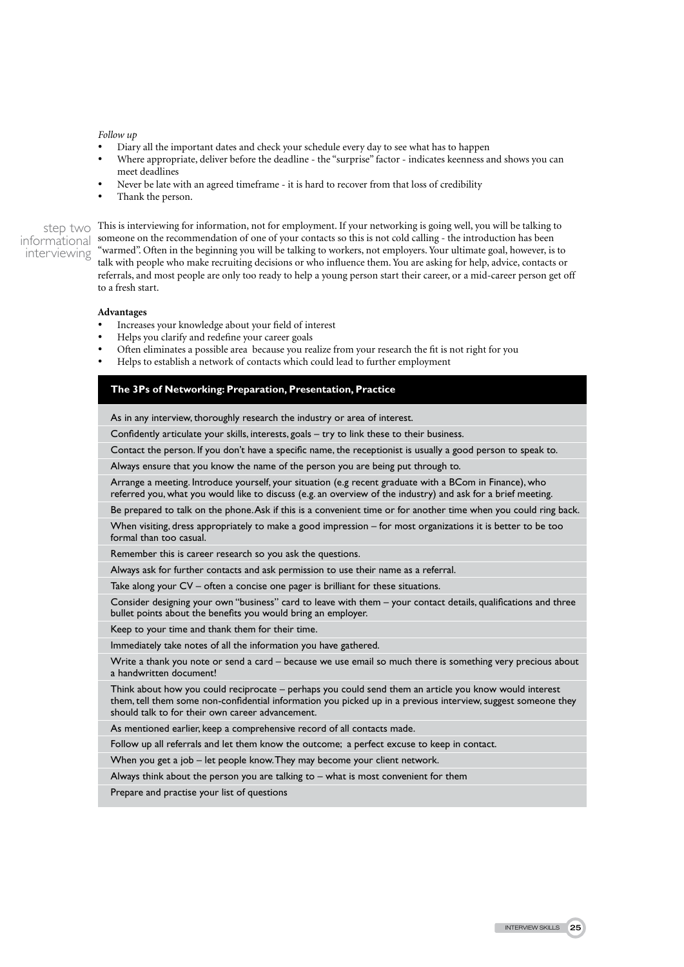#### *Follow up*

- Diary all the important dates and check your schedule every day to see what has to happen
- Where appropriate, deliver before the deadline the "surprise" factor indicates keenness and shows you can meet deadlines
- Never be late with an agreed timeframe it is hard to recover from that loss of credibility
- Thank the person.

interviewing

Step two This is interviewing for information, not for employment. If your networking is going well, you will be talking to step two This is interviewing for information, not for employment. If your networking is going well, you will be talking the introduction has been informational someone on the recommendation of one of your contacts so thi "warmed". Often in the beginning you will be talking to workers, not employers. Your ultimate goal, however, is to talk with people who make recruiting decisions or who influence them. You are asking for help, advice, contacts or referrals, and most people are only too ready to help a young person start their career, or a mid-career person get off to a fresh start.

#### **Advantages**

- Increases your knowledge about your field of interest
- Helps you clarify and redefine your career goals
- Often eliminates a possible area because you realize from your research the fit is not right for you
- Helps to establish a network of contacts which could lead to further employment

#### **The 3Ps of Networking: Preparation, Presentation, Practice**

As in any interview, thoroughly research the industry or area of interest.

Confidently articulate your skills, interests, goals – try to link these to their business.

Contact the person. If you don't have a specific name, the receptionist is usually a good person to speak to.

Always ensure that you know the name of the person you are being put through to.

Arrange a meeting. Introduce yourself, your situation (e.g recent graduate with a BCom in Finance), who referred you, what you would like to discuss (e.g. an overview of the industry) and ask for a brief meeting.

Be prepared to talk on the phone. Ask if this is a convenient time or for another time when you could ring back.

When visiting, dress appropriately to make a good impression – for most organizations it is better to be too formal than too casual.

Remember this is career research so you ask the questions.

Always ask for further contacts and ask permission to use their name as a referral.

Take along your CV – often a concise one pager is brilliant for these situations.

Consider designing your own "business" card to leave with them – your contact details, qualifications and three bullet points about the benefits you would bring an employer.

Keep to your time and thank them for their time.

Immediately take notes of all the information you have gathered.

Write a thank you note or send a card – because we use email so much there is something very precious about a handwritten document!

Think about how you could reciprocate – perhaps you could send them an article you know would interest them, tell them some non-confidential information you picked up in a previous interview, suggest someone they should talk to for their own career advancement.

As mentioned earlier, keep a comprehensive record of all contacts made.

Follow up all referrals and let them know the outcome; a perfect excuse to keep in contact.

When you get a job – let people know. They may become your client network.

Always think about the person you are talking to – what is most convenient for them

Prepare and practise your list of questions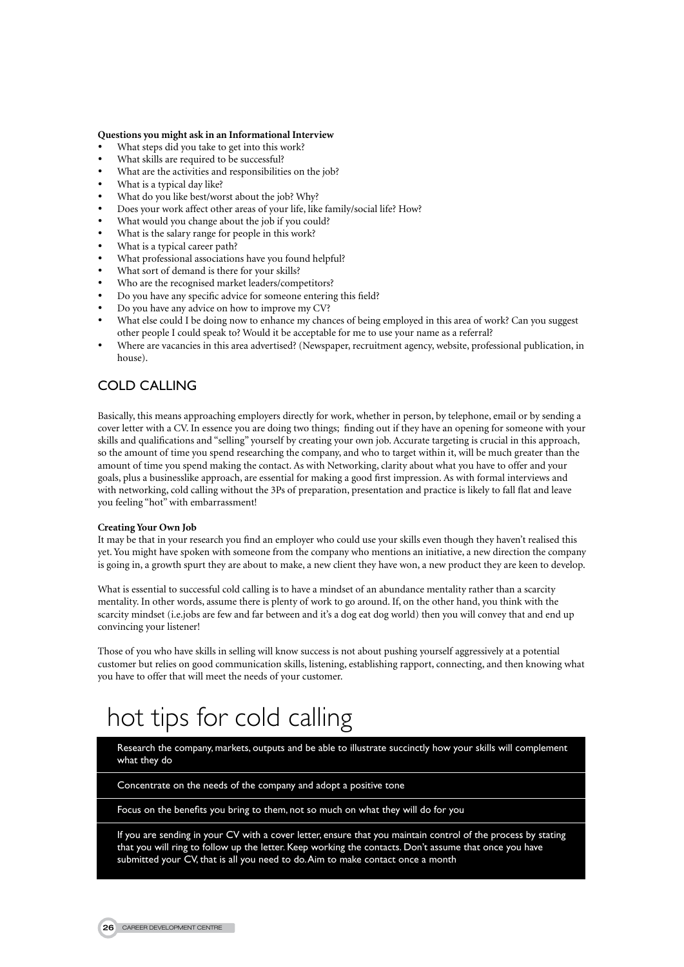#### **Questions you might ask in an Informational Interview**

- What steps did you take to get into this work?
- What skills are required to be successful?
- What are the activities and responsibilities on the job?
- What is a typical day like?
- What do you like best/worst about the job? Why?
- Does your work affect other areas of your life, like family/social life? How?
- What would you change about the job if you could?
- What is the salary range for people in this work?
- What is a typical career path?
- What professional associations have you found helpful?
- What sort of demand is there for your skills?
- Who are the recognised market leaders/competitors?
- Do you have any specific advice for someone entering this field?
- Do you have any advice on how to improve my CV?
- What else could I be doing now to enhance my chances of being employed in this area of work? Can you suggest other people I could speak to? Would it be acceptable for me to use your name as a referral?
- Where are vacancies in this area advertised? (Newspaper, recruitment agency, website, professional publication, in house).

# Cold Calling

Basically, this means approaching employers directly for work, whether in person, by telephone, email or by sending a cover letter with a CV. In essence you are doing two things; finding out if they have an opening for someone with your skills and qualifications and "selling" yourself by creating your own job. Accurate targeting is crucial in this approach, so the amount of time you spend researching the company, and who to target within it, will be much greater than the amount of time you spend making the contact. As with Networking, clarity about what you have to offer and your goals, plus a businesslike approach, are essential for making a good first impression. As with formal interviews and with networking, cold calling without the 3Ps of preparation, presentation and practice is likely to fall flat and leave you feeling "hot" with embarrassment!

#### **Creating Your Own Job**

It may be that in your research you find an employer who could use your skills even though they haven't realised this yet. You might have spoken with someone from the company who mentions an initiative, a new direction the company is going in, a growth spurt they are about to make, a new client they have won, a new product they are keen to develop.

What is essential to successful cold calling is to have a mindset of an abundance mentality rather than a scarcity mentality. In other words, assume there is plenty of work to go around. If, on the other hand, you think with the scarcity mindset (i.e.jobs are few and far between and it's a dog eat dog world) then you will convey that and end up convincing your listener!

Those of you who have skills in selling will know success is not about pushing yourself aggressively at a potential customer but relies on good communication skills, listening, establishing rapport, connecting, and then knowing what you have to offer that will meet the needs of your customer.

# hot tips for cold calling

Research the company, markets, outputs and be able to illustrate succinctly how your skills will complement what they do

Concentrate on the needs of the company and adopt a positive tone

Focus on the benefits you bring to them, not so much on what they will do for you

If you are sending in your CV with a cover letter, ensure that you maintain control of the process by stating that you will ring to follow up the letter. Keep working the contacts. Don't assume that once you have submitted your CV, that is all you need to do. Aim to make contact once a month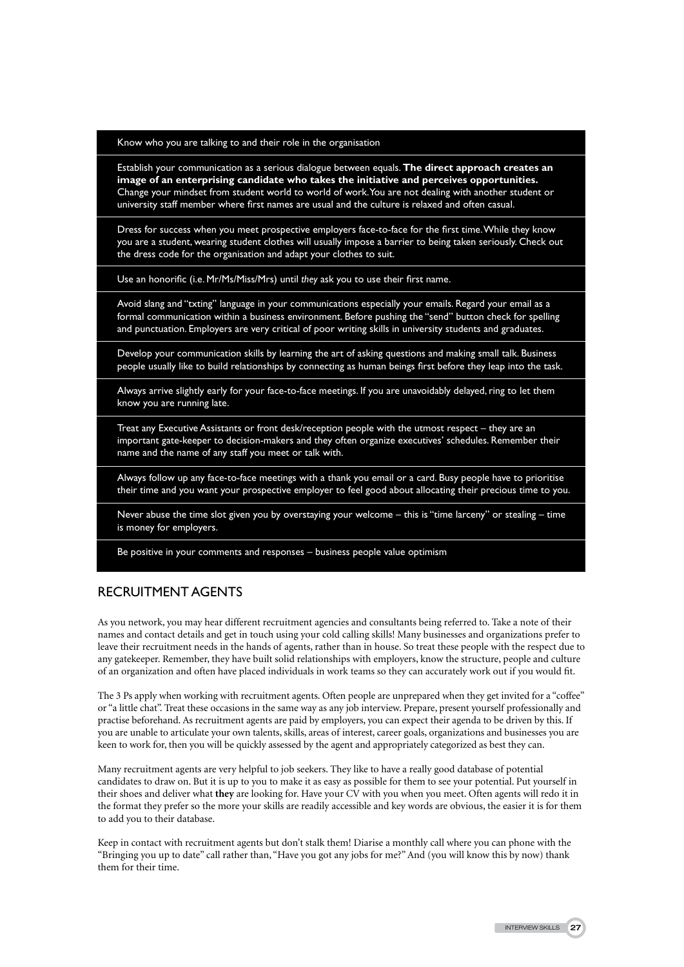#### Know who you are talking to and their role in the organisation

Establish your communication as a serious dialogue between equals. **The direct approach creates an image of an enterprising candidate who takes the initiative and perceives opportunities.** Change your mindset from student world to world of work. You are not dealing with another student or university staff member where first names are usual and the culture is relaxed and often casual.

Dress for success when you meet prospective employers face-to-face for the first time. While they know you are a student, wearing student clothes will usually impose a barrier to being taken seriously. Check out the dress code for the organisation and adapt your clothes to suit.

Use an honorific (i.e. Mr/Ms/Miss/Mrs) until *they* ask you to use their first name.

Avoid slang and "txting" language in your communications especially your emails. Regard your email as a formal communication within a business environment. Before pushing the "send" button check for spelling and punctuation. Employers are very critical of poor writing skills in university students and graduates.

Develop your communication skills by learning the art of asking questions and making small talk. Business people usually like to build relationships by connecting as human beings first before they leap into the task.

Always arrive slightly early for your face-to-face meetings. If you are unavoidably delayed, ring to let them know you are running late.

Treat any Executive Assistants or front desk/reception people with the utmost respect – they are an important gate-keeper to decision-makers and they often organize executives' schedules. Remember their name and the name of any staff you meet or talk with.

Always follow up any face-to-face meetings with a thank you email or a card. Busy people have to prioritise their time and you want your prospective employer to feel good about allocating their precious time to you.

Never abuse the time slot given you by overstaying your welcome – this is "time larceny" or stealing – time is money for employers.

Be positive in your comments and responses – business people value optimism

## Recruitment Agents

As you network, you may hear different recruitment agencies and consultants being referred to. Take a note of their names and contact details and get in touch using your cold calling skills! Many businesses and organizations prefer to leave their recruitment needs in the hands of agents, rather than in house. So treat these people with the respect due to any gatekeeper. Remember, they have built solid relationships with employers, know the structure, people and culture of an organization and often have placed individuals in work teams so they can accurately work out if you would fit.

The 3 Ps apply when working with recruitment agents. Often people are unprepared when they get invited for a "coffee" or "a little chat". Treat these occasions in the same way as any job interview. Prepare, present yourself professionally and practise beforehand. As recruitment agents are paid by employers, you can expect their agenda to be driven by this. If you are unable to articulate your own talents, skills, areas of interest, career goals, organizations and businesses you are keen to work for, then you will be quickly assessed by the agent and appropriately categorized as best they can.

Many recruitment agents are very helpful to job seekers. They like to have a really good database of potential candidates to draw on. But it is up to you to make it as easy as possible for them to see your potential. Put yourself in their shoes and deliver what **they** are looking for. Have your CV with you when you meet. Often agents will redo it in the format they prefer so the more your skills are readily accessible and key words are obvious, the easier it is for them to add you to their database.

Keep in contact with recruitment agents but don't stalk them! Diarise a monthly call where you can phone with the "Bringing you up to date" call rather than, "Have you got any jobs for me?" And (you will know this by now) thank them for their time.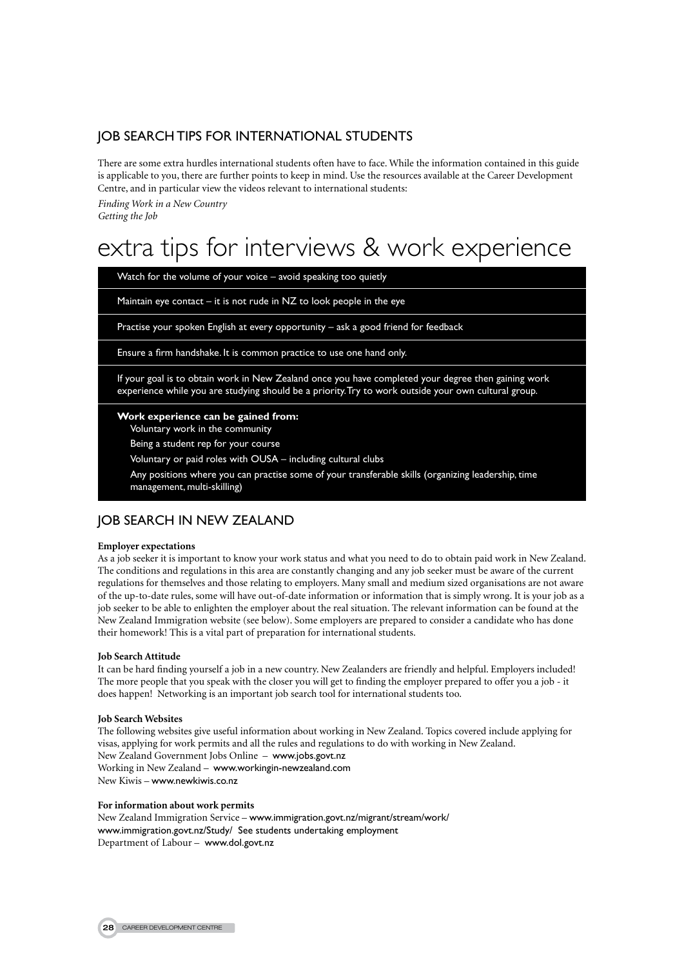# Job Search tips for International students

There are some extra hurdles international students often have to face. While the information contained in this guide is applicable to you, there are further points to keep in mind. Use the resources available at the Career Development Centre, and in particular view the videos relevant to international students:

*Finding Work in a New Country Getting the Job*

# extra tips for interviews & work experience

Watch for the volume of your voice – avoid speaking too quietly

Maintain eye contact  $-$  it is not rude in NZ to look people in the eye

Practise your spoken English at every opportunity – ask a good friend for feedback

Ensure a firm handshake. It is common practice to use one hand only.

If your goal is to obtain work in New Zealand once you have completed your degree then gaining work experience while you are studying should be a priority. Try to work outside your own cultural group.

**Work experience can be gained from:**

Voluntary work in the community

Being a student rep for your course

Voluntary or paid roles with OUSA – including cultural clubs

Any positions where you can practise some of your transferable skills (organizing leadership, time management, multi-skilling)

## Job Search in New Zealand

#### **Employer expectations**

As a job seeker it is important to know your work status and what you need to do to obtain paid work in New Zealand. The conditions and regulations in this area are constantly changing and any job seeker must be aware of the current regulations for themselves and those relating to employers. Many small and medium sized organisations are not aware of the up-to-date rules, some will have out-of-date information or information that is simply wrong. It is your job as a job seeker to be able to enlighten the employer about the real situation. The relevant information can be found at the New Zealand Immigration website (see below). Some employers are prepared to consider a candidate who has done their homework! This is a vital part of preparation for international students.

#### **Job Search Attitude**

It can be hard finding yourself a job in a new country. New Zealanders are friendly and helpful. Employers included! The more people that you speak with the closer you will get to finding the employer prepared to offer you a job - it does happen! Networking is an important job search tool for international students too.

#### **Job Search Websites**

The following websites give useful information about working in New Zealand. Topics covered include applying for visas, applying for work permits and all the rules and regulations to do with working in New Zealand. New Zealand Government Jobs Online – www.jobs.govt.nz Working in New Zealand – www.workingin-newzealand.com New Kiwis – www.newkiwis.co.nz

#### **For information about work permits**

New Zealand Immigration Service – www.immigration.govt.nz/migrant/stream/work/ www.immigration.govt.nz/Study/ See students undertaking employment Department of Labour – www.dol.govt.nz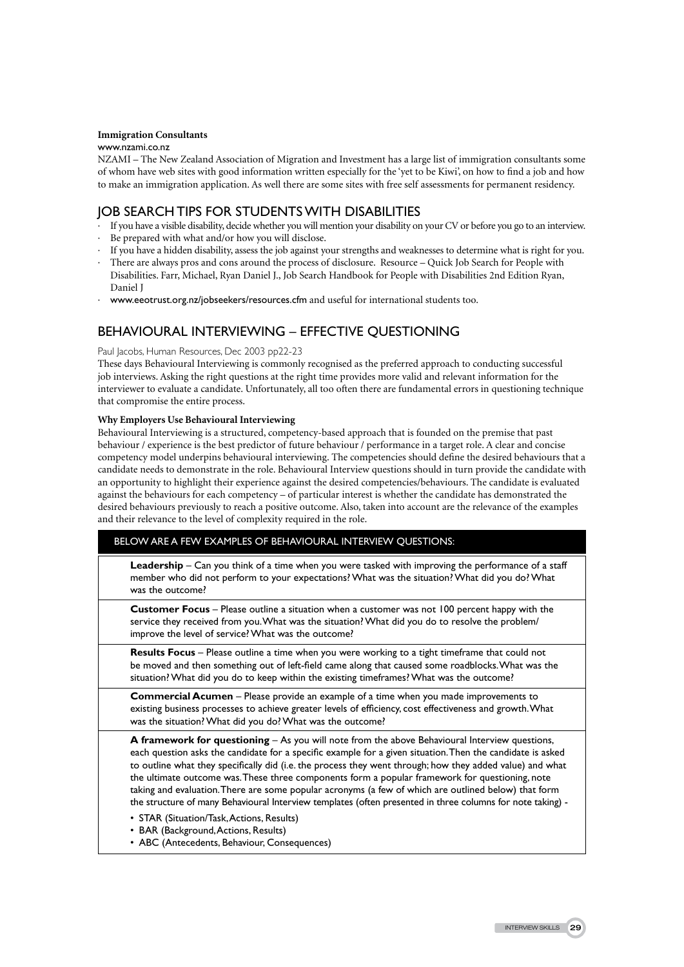#### **Immigration Consultants**

#### www.nzami.co.nz

NZAMI – The New Zealand Association of Migration and Investment has a large list of immigration consultants some of whom have web sites with good information written especially for the 'yet to be Kiwi', on how to find a job and how to make an immigration application. As well there are some sites with free self assessments for permanent residency.

# Job Search tips for students with disabilities

- · If you have a visible disability, decide whether you will mention your disability on your CV or before you go to an interview.
- Be prepared with what and/or how you will disclose.
- If you have a hidden disability, assess the job against your strengths and weaknesses to determine what is right for you.
- There are always pros and cons around the process of disclosure. Resource Quick Job Search for People with Disabilities. Farr, Michael, Ryan Daniel J., Job Search Handbook for People with Disabilities 2nd Edition Ryan, Daniel J
- · www.eeotrust.org.nz/jobseekers/resources.cfm and useful for international students too.

# Behavioural Interviewing – Effective questioning

#### Paul Jacobs, Human Resources, Dec 2003 pp22-23

These days Behavioural Interviewing is commonly recognised as the preferred approach to conducting successful job interviews. Asking the right questions at the right time provides more valid and relevant information for the interviewer to evaluate a candidate. Unfortunately, all too often there are fundamental errors in questioning technique that compromise the entire process.

#### **Why Employers Use Behavioural Interviewing**

Behavioural Interviewing is a structured, competency-based approach that is founded on the premise that past behaviour / experience is the best predictor of future behaviour / performance in a target role. A clear and concise competency model underpins behavioural interviewing. The competencies should define the desired behaviours that a candidate needs to demonstrate in the role. Behavioural Interview questions should in turn provide the candidate with an opportunity to highlight their experience against the desired competencies/behaviours. The candidate is evaluated against the behaviours for each competency – of particular interest is whether the candidate has demonstrated the desired behaviours previously to reach a positive outcome. Also, taken into account are the relevance of the examples and their relevance to the level of complexity required in the role.

| BELOW ARE A FEW EXAMPLES OF BEHAVIOURAL INTERVIEW OUESTIONS: |  |
|--------------------------------------------------------------|--|
|--------------------------------------------------------------|--|

**Leadership** – Can you think of a time when you were tasked with improving the performance of a staff member who did not perform to your expectations? What was the situation? What did you do? What was the outcome?

**Customer Focus** – Please outline a situation when a customer was not 100 percent happy with the service they received from you. What was the situation? What did you do to resolve the problem/ improve the level of service? What was the outcome?

**Results Focus** – Please outline a time when you were working to a tight timeframe that could not be moved and then something out of left-field came along that caused some roadblocks. What was the situation? What did you do to keep within the existing timeframes? What was the outcome?

**Commercial Acumen** – Please provide an example of a time when you made improvements to existing business processes to achieve greater levels of efficiency, cost effectiveness and growth. What was the situation? What did you do? What was the outcome?

**A framework for questioning** – As you will note from the above Behavioural Interview questions, each question asks the candidate for a specific example for a given situation. Then the candidate is asked to outline what they specifically did (i.e. the process they went through; how they added value) and what the ultimate outcome was. These three components form a popular framework for questioning, note taking and evaluation. There are some popular acronyms (a few of which are outlined below) that form the structure of many Behavioural Interview templates (often presented in three columns for note taking) -

- STAR (Situation/Task, Actions, Results)
- BAR (Background, Actions, Results)
- ABC (Antecedents, Behaviour, Consequences)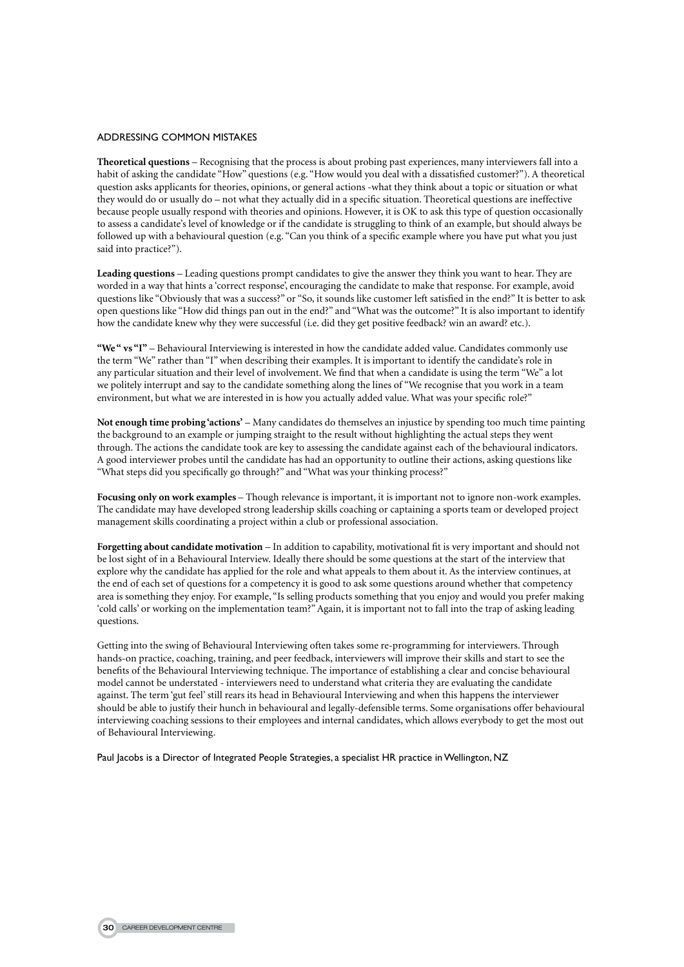#### Addressing common mistakes

**Theoretical questions** – Recognising that the process is about probing past experiences, many interviewers fall into a habit of asking the candidate "How" questions (e.g. "How would you deal with a dissatisfied customer?"). A theoretical question asks applicants for theories, opinions, or general actions -what they think about a topic or situation or what they would do or usually do – not what they actually did in a specific situation. Theoretical questions are ineffective because people usually respond with theories and opinions. However, it is OK to ask this type of question occasionally to assess a candidate's level of knowledge or if the candidate is struggling to think of an example, but should always be followed up with a behavioural question (e.g. "Can you think of a specific example where you have put what you just said into practice?").

**Leading questions** – Leading questions prompt candidates to give the answer they think you want to hear. They are worded in a way that hints a 'correct response', encouraging the candidate to make that response. For example, avoid questions like "Obviously that was a success?" or "So, it sounds like customer left satisfied in the end?" It is better to ask open questions like "How did things pan out in the end?" and "What was the outcome?" It is also important to identify how the candidate knew why they were successful (i.e. did they get positive feedback? win an award? etc.).

**"We " vs "I"** – Behavioural Interviewing is interested in how the candidate added value. Candidates commonly use the term "We" rather than "I" when describing their examples. It is important to identify the candidate's role in any particular situation and their level of involvement. We find that when a candidate is using the term "We" a lot we politely interrupt and say to the candidate something along the lines of "We recognise that you work in a team environment, but what we are interested in is how you actually added value. What was your specific role?"

**Not enough time probing 'actions'** – Many candidates do themselves an injustice by spending too much time painting the background to an example or jumping straight to the result without highlighting the actual steps they went through. The actions the candidate took are key to assessing the candidate against each of the behavioural indicators. A good interviewer probes until the candidate has had an opportunity to outline their actions, asking questions like "What steps did you specifically go through?" and "What was your thinking process?"

**Focusing only on work examples** – Though relevance is important, it is important not to ignore non-work examples. The candidate may have developed strong leadership skills coaching or captaining a sports team or developed project management skills coordinating a project within a club or professional association.

**Forgetting about candidate motivation** – In addition to capability, motivational fit is very important and should not be lost sight of in a Behavioural Interview. Ideally there should be some questions at the start of the interview that explore why the candidate has applied for the role and what appeals to them about it. As the interview continues, at the end of each set of questions for a competency it is good to ask some questions around whether that competency area is something they enjoy. For example, "Is selling products something that you enjoy and would you prefer making 'cold calls' or working on the implementation team?" Again, it is important not to fall into the trap of asking leading questions.

Getting into the swing of Behavioural Interviewing often takes some re-programming for interviewers. Through hands-on practice, coaching, training, and peer feedback, interviewers will improve their skills and start to see the benefits of the Behavioural Interviewing technique. The importance of establishing a clear and concise behavioural model cannot be understated - interviewers need to understand what criteria they are evaluating the candidate against. The term 'gut feel' still rears its head in Behavioural Interviewing and when this happens the interviewer should be able to justify their hunch in behavioural and legally-defensible terms. Some organisations offer behavioural interviewing coaching sessions to their employees and internal candidates, which allows everybody to get the most out of Behavioural Interviewing.

Paul Jacobs is a Director of Integrated People Strategies, a specialist HR practice in Wellington, NZ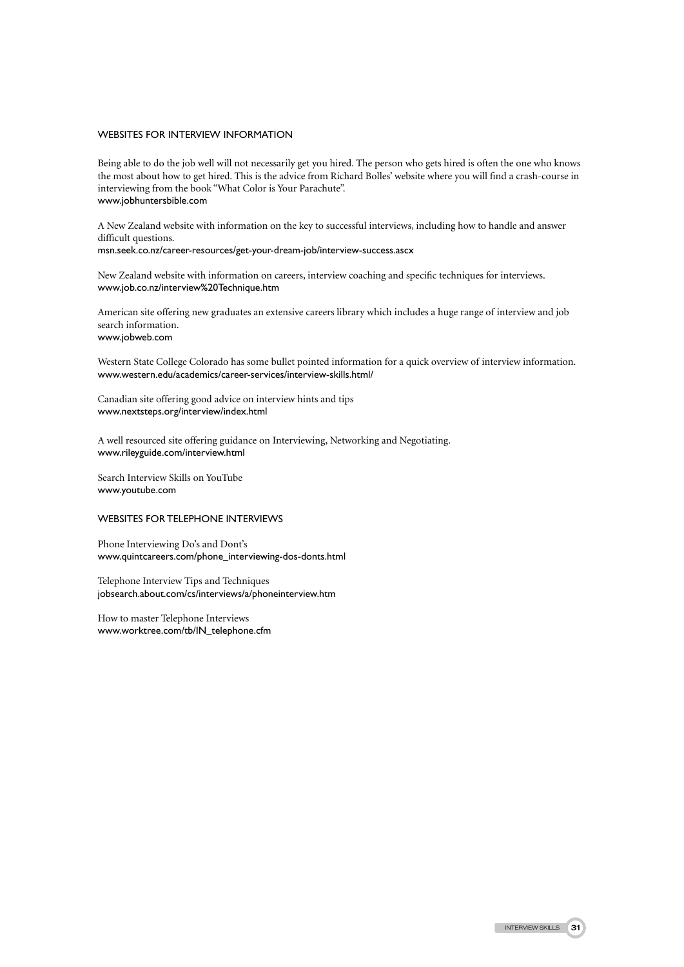#### Websites for Interview Information

Being able to do the job well will not necessarily get you hired. The person who gets hired is often the one who knows the most about how to get hired. This is the advice from Richard Bolles' website where you will find a crash-course in interviewing from the book "What Color is Your Parachute". www.jobhuntersbible.com

A New Zealand website with information on the key to successful interviews, including how to handle and answer difficult questions.

msn.seek.co.nz/career-resources/get-your-dream-job/interview-success.ascx

New Zealand website with information on careers, interview coaching and specific techniques for interviews. www.job.co.nz/interview%20Technique.htm

American site offering new graduates an extensive careers library which includes a huge range of interview and job search information. www.jobweb.com

Western State College Colorado has some bullet pointed information for a quick overview of interview information. www.western.edu/academics/career-services/interview-skills.html/

Canadian site offering good advice on interview hints and tips www.nextsteps.org/interview/index.html

A well resourced site offering guidance on Interviewing, Networking and Negotiating. www.rileyguide.com/interview.html

Search Interview Skills on YouTube www.youtube.com

#### Websites for telephone interviews

Phone Interviewing Do's and Dont's www.quintcareers.com/phone\_interviewing-dos-donts.html

Telephone Interview Tips and Techniques jobsearch.about.com/cs/interviews/a/phoneinterview.htm

How to master Telephone Interviews www.worktree.com/tb/IN\_telephone.cfm